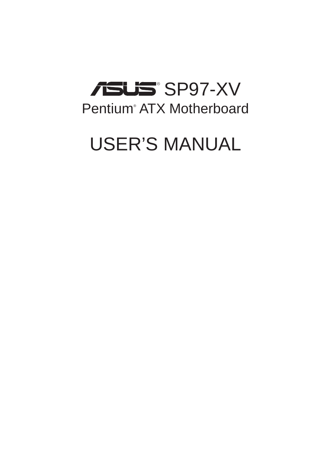

# USER'S MANUAL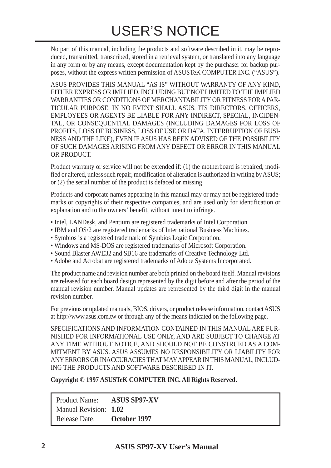No part of this manual, including the products and software described in it, may be reproduced, transmitted, transcribed, stored in a retrieval system, or translated into any language in any form or by any means, except documentation kept by the purchaser for backup purposes, without the express written permission of ASUSTeK COMPUTER INC. ("ASUS").

ASUS PROVIDES THIS MANUAL "AS IS" WITHOUT WARRANTY OF ANY KIND, EITHER EXPRESS OR IMPLIED, INCLUDING BUT NOT LIMITED TO THE IMPLIED WARRANTIES OR CONDITIONS OF MERCHANTABILITY OR FITNESS FOR A PAR-TICULAR PURPOSE. IN NO EVENT SHALL ASUS, ITS DIRECTORS, OFFICERS, EMPLOYEES OR AGENTS BE LIABLE FOR ANY INDIRECT, SPECIAL, INCIDEN-TAL, OR CONSEQUENTIAL DAMAGES (INCLUDING DAMAGES FOR LOSS OF PROFITS, LOSS OF BUSINESS, LOSS OF USE OR DATA, INTERRUPTION OF BUSI-NESS AND THE LIKE), EVEN IF ASUS HAS BEEN ADVISED OF THE POSSIBILITY OF SUCH DAMAGES ARISING FROM ANY DEFECT OR ERROR IN THIS MANUAL OR PRODUCT.

Product warranty or service will not be extended if: (1) the motherboard is repaired, modified or altered, unless such repair, modification of alteration is authorized in writing by ASUS; or (2) the serial number of the product is defaced or missing.

Products and corporate names appearing in this manual may or may not be registered trademarks or copyrights of their respective companies, and are used only for identification or explanation and to the owners' benefit, without intent to infringe.

- Intel, LANDesk, and Pentium are registered trademarks of Intel Corporation.
- IBM and OS/2 are registered trademarks of International Business Machines.
- Symbios is a registered trademark of Symbios Logic Corporation.
- Windows and MS-DOS are registered trademarks of Microsoft Corporation.
- Sound Blaster AWE32 and SB16 are trademarks of Creative Technology Ltd.
- Adobe and Acrobat are registered trademarks of Adobe Systems Incorporated.

The product name and revision number are both printed on the board itself. Manual revisions are released for each board design represented by the digit before and after the period of the manual revision number. Manual updates are represented by the third digit in the manual revision number.

For previous or updated manuals, BIOS, drivers, or product release information, contact ASUS at http://www.asus.com.tw or through any of the means indicated on the following page.

SPECIFICATIONS AND INFORMATION CONTAINED IN THIS MANUAL ARE FUR-NISHED FOR INFORMATIONAL USE ONLY, AND ARE SUBJECT TO CHANGE AT ANY TIME WITHOUT NOTICE, AND SHOULD NOT BE CONSTRUED AS A COM-MITMENT BY ASUS. ASUS ASSUMES NO RESPONSIBILITY OR LIABILITY FOR ANY ERRORS OR INACCURACIES THAT MAY APPEAR IN THIS MANUAL, INCLUD-ING THE PRODUCTS AND SOFTWARE DESCRIBED IN IT.

**Copyright © 1997 ASUSTeK COMPUTER INC. All Rights Reserved.**

Product Name: **ASUS SP97-XV** Manual Revision: **1.02** Release Date: **October 1997**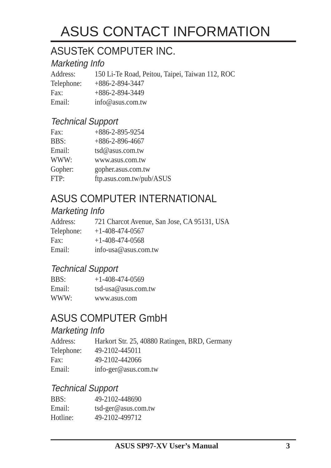# ASUS CONTACT INFORMATION

## ASUSTeK COMPUTER INC.

### Marketing Info

Address: 150 Li-Te Road, Peitou, Taipei, Taiwan 112, ROC Telephone: +886-2-894-3447 Fax: +886-2-894-3449 Email: info@asus.com.tw

### Technical Support

| Fax:    | $+886-2-895-9254$        |
|---------|--------------------------|
| BBS:    | $+886-2-896-4667$        |
| Email:  | tsd@asus.com.tw          |
| WWW:    | www.asus.com.tw          |
| Gopher: | gopher.asus.com.tw       |
| FTP:    | ftp.asus.com.tw/pub/ASUS |

## ASUS COMPUTER INTERNATIONAL

### Marketing Info

| Address:   | 721 Charcot Avenue, San Jose, CA 95131, USA |
|------------|---------------------------------------------|
| Telephone: | $+1-408-474-0567$                           |
| Fax:       | $+1-408-474-0568$                           |
| Email:     | info-usa@asus.com.tw                        |
|            |                                             |

### Technical Support

| BBS:   | $+1 - 408 - 474 - 0569$ |
|--------|-------------------------|
| Email: | $tsd-usa@assus.com.tw$  |
| WWW:   | www.asus.com            |

## ASUS COMPUTER GmbH

### Marketing Info

| Address:   | Harkort Str. 25, 40880 Ratingen, BRD, Germany |
|------------|-----------------------------------------------|
| Telephone: | 49-2102-445011                                |
| Fax:       | 49-2102-442066                                |
| Email:     | info-ger@asus.com.tw                          |

### Technical Support

| BBS:     | 49-2102-448690      |
|----------|---------------------|
| Email:   | tsd-ger@asus.com.tw |
| Hotline: | 49-2102-499712      |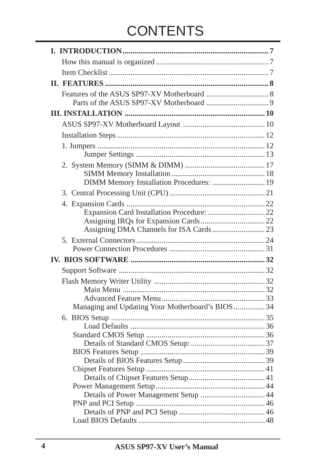# **CONTENTS**

| DIMM Memory Installation Procedures:  19          |
|---------------------------------------------------|
|                                                   |
|                                                   |
|                                                   |
|                                                   |
|                                                   |
|                                                   |
|                                                   |
|                                                   |
|                                                   |
|                                                   |
|                                                   |
| Managing and Updating Your Motherboard's BIOS  34 |
|                                                   |
|                                                   |
|                                                   |
|                                                   |
|                                                   |
|                                                   |
|                                                   |
|                                                   |
| Details of Power Management Setup  44             |
|                                                   |
|                                                   |
|                                                   |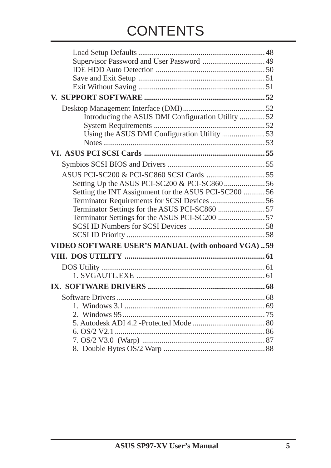# **CONTENTS**

| Introducing the ASUS DMI Configuration Utility 52    |  |
|------------------------------------------------------|--|
|                                                      |  |
| Using the ASUS DMI Configuration Utility 53          |  |
|                                                      |  |
|                                                      |  |
|                                                      |  |
|                                                      |  |
|                                                      |  |
|                                                      |  |
| Setting the INT Assignment for the ASUS PCI-SC200 56 |  |
|                                                      |  |
|                                                      |  |
|                                                      |  |
|                                                      |  |
|                                                      |  |
| VIDEO SOFTWARE USER'S MANUAL (with onboard VGA) 59   |  |
|                                                      |  |
|                                                      |  |
|                                                      |  |
|                                                      |  |
|                                                      |  |
|                                                      |  |
|                                                      |  |
|                                                      |  |
|                                                      |  |
|                                                      |  |
|                                                      |  |
|                                                      |  |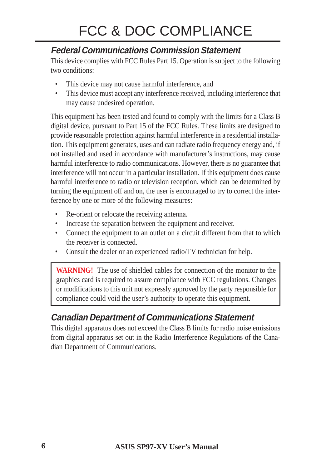# FCC & DOC COMPLIANCE

### **Federal Communications Commission Statement**

This device complies with FCC Rules Part 15. Operation is subject to the following two conditions:

- This device may not cause harmful interference, and
- This device must accept any interference received, including interference that may cause undesired operation.

This equipment has been tested and found to comply with the limits for a Class B digital device, pursuant to Part 15 of the FCC Rules. These limits are designed to provide reasonable protection against harmful interference in a residential installation. This equipment generates, uses and can radiate radio frequency energy and, if not installed and used in accordance with manufacturer's instructions, may cause harmful interference to radio communications. However, there is no guarantee that interference will not occur in a particular installation. If this equipment does cause harmful interference to radio or television reception, which can be determined by turning the equipment off and on, the user is encouraged to try to correct the interference by one or more of the following measures:

- Re-orient or relocate the receiving antenna.
- Increase the separation between the equipment and receiver.
- Connect the equipment to an outlet on a circuit different from that to which the receiver is connected.
- Consult the dealer or an experienced radio/TV technician for help.

**WARNING!** The use of shielded cables for connection of the monitor to the graphics card is required to assure compliance with FCC regulations. Changes or modifications to this unit not expressly approved by the party responsible for compliance could void the user's authority to operate this equipment.

### **Canadian Department of Communications Statement**

This digital apparatus does not exceed the Class B limits for radio noise emissions from digital apparatus set out in the Radio Interference Regulations of the Canadian Department of Communications.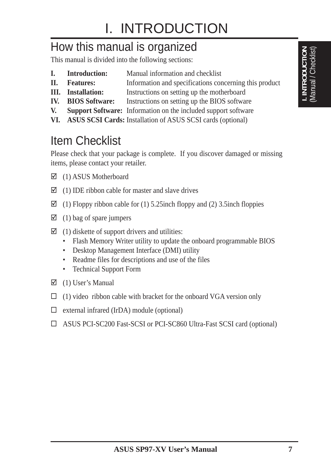## How this manual is organized

This manual is divided into the following sections:

- **I. Introduction:** Manual information and checklist
- **II. Features:** Information and specifications concerning this product
- **III.** Installation: Instructions on setting up the motherboard
- **IV. BIOS Software:** Instructions on setting up the BIOS software
- **V. Support Software:** Information on the included support software
- **VI. ASUS SCSI Cards:** Installation of ASUS SCSI cards (optional)

## Item Checklist

Please check that your package is complete. If you discover damaged or missing items, please contact your retailer.

- $\boxtimes$  (1) ASUS Motherboard
- $\boxtimes$  (1) IDE ribbon cable for master and slave drives
- $\boxtimes$  (1) Floppy ribbon cable for (1) 5.25inch floppy and (2) 3.5inch floppies
- $\boxtimes$  (1) bag of spare jumpers
- $\boxtimes$  (1) diskette of support drivers and utilities:
	- Flash Memory Writer utility to update the onboard programmable BIOS
	- Desktop Management Interface (DMI) utility
	- Readme files for descriptions and use of the files
	- Technical Support Form
- $\boxtimes$  (1) User's Manual
- $\Box$  (1) video ribbon cable with bracket for the onboard VGA version only
- $\Box$  external infrared (IrDA) module (optional)
- □ ASUS PCI-SC200 Fast-SCSI or PCI-SC860 Ultra-Fast SCSI card (optional)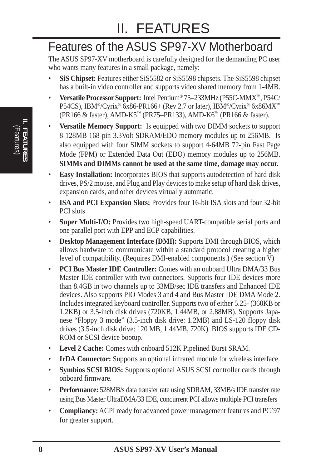## Features of the ASUS SP97-XV Motherboard

The ASUS SP97-XV motherboard is carefully designed for the demanding PC user who wants many features in a small package, namely:

- **SiS Chipset:** Features either SiS5582 or SiS5598 chipsets. The SiS5598 chipset has a built-in video controller and supports video shared memory from 1-4MB.
- **Versatile Processor Support:** Intel Pentium® 75–233MHz (P55C-MMX™, P54C/ P54CS), IBM®/Cyrix® 6x86-PR166+ (Rev 2.7 or later), IBM®/Cyrix® 6x86MX™ (PR166 & faster), AMD-K5™ (PR75–PR133), AMD-K6™ (PR166 & faster).
- **Versatile Memory Support:** Is equipped with two DIMM sockets to support 8-128MB 168-pin 3.3Volt SDRAM/EDO memory modules up to 256MB. Is also equipped with four SIMM sockets to support 4-64MB 72-pin Fast Page Mode (FPM) or Extended Data Out (EDO) memory modules up to 256MB. **SIMMs and DIMMs cannot be used at the same time, damage may occur.**
- **Easy Installation:** Incorporates BIOS that supports autodetection of hard disk drives, PS/2 mouse, and Plug and Play devices to make setup of hard disk drives, expansion cards, and other devices virtually automatic.
- **ISA and PCI Expansion Slots:** Provides four 16-bit ISA slots and four 32-bit PCI slots
- **Super Multi-I/O:** Provides two high-speed UART-compatible serial ports and one parallel port with EPP and ECP capabilities.
- **Desktop Management Interface (DMI):** Supports DMI through BIOS, which allows hardware to communicate within a standard protocol creating a higher level of compatibility. (Requires DMI-enabled components.) (See section V)
- **PCI Bus Master IDE Controller:** Comes with an onboard Ultra DMA/33 Bus Master IDE controller with two connectors. Supports four IDE devices more than 8.4GB in two channels up to 33MB/sec IDE transfers and Enhanced IDE devices. Also supports PIO Modes 3 and 4 and Bus Master IDE DMA Mode 2. Includes integrated keyboard controller. Supports two of either 5.25- (360KB or 1.2KB) or 3.5-inch disk drives (720KB, 1.44MB, or 2.88MB). Supports Japanese "Floppy 3 mode" (3.5-inch disk drive: 1.2MB) and LS-120 floppy disk drives (3.5-inch disk drive: 120 MB, 1.44MB, 720K). BIOS supports IDE CD-ROM or SCSI device bootup.
- **Level 2 Cache:** Comes with onboard 512K Pipelined Burst SRAM.
- **IrDA Connector:** Supports an optional infrared module for wireless interface.
- **Symbios SCSI BIOS:** Supports optional ASUS SCSI controller cards through onboard firmware.
- **Performance:** 528MB/s data transfer rate using SDRAM, 33MB/s IDE transfer rate using Bus Master UltraDMA/33 IDE, concurrent PCI allows multiple PCI transfers
- **Compliancy:** ACPI ready for advanced power management features and PC'97 for greater support.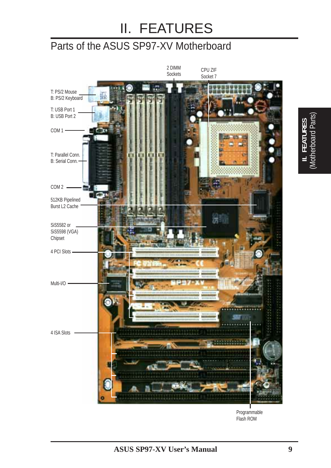# II. FEATURES

## Parts of the ASUS SP97-XV Motherboard



Programmable Flash ROM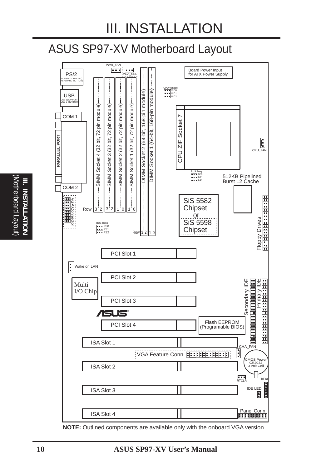## ASUS SP97-XV Motherboard Layout



**NOTE:** Outlined components are available only with the onboard VGA version.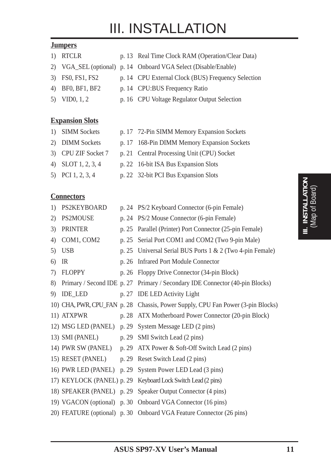### **Jumpers**

- 1) RTCLR p. 13 Real Time Clock RAM (Operation/Clear Data) 2) VGA\_SEL (optional) p. 14 Onboard VGA Select (Disable/Enable) 3) FS0, FS1, FS2 p. 14 CPU External Clock (BUS) Frequency Selection 4) BF0, BF1, BF2 p. 14 CPU:BUS Frequency Ratio
- 
- 5) VID0, 1, 2 p. 16 CPU Voltage Regulator Output Selection

#### **Expansion Slots**

1) SIMM Sockets p. 17 72-Pin SIMM Memory Expansion Sockets 2) DIMM Sockets p. 17 168-Pin DIMM Memory Expansion Sockets 3) CPU ZIF Socket 7 p. 21 Central Processing Unit (CPU) Socket 4) SLOT 1, 2, 3, 4 p. 22 16-bit ISA Bus Expansion Slots 5) PCI 1, 2, 3, 4 p. 22 32-bit PCI Bus Expansion Slots

#### **Connectors**

| 1) | PS2KEYBOARD                  |       | p. 24 PS/2 Keyboard Connector (6-pin Female)                                    |
|----|------------------------------|-------|---------------------------------------------------------------------------------|
| 2) | PS2MOUSE                     | p. 24 | PS/2 Mouse Connector (6-pin Female)                                             |
| 3) | <b>PRINTER</b>               | p. 25 | Parallel (Printer) Port Connector (25-pin Female)                               |
| 4) | COM1, COM2                   | p. 25 | Serial Port COM1 and COM2 (Two 9-pin Male)                                      |
| 5) | <b>USB</b>                   | p. 25 | Universal Serial BUS Ports 1 & 2 (Two 4-pin Female)                             |
| 6) | IR                           | p. 26 | <b>Infrared Port Module Connector</b>                                           |
| 7) | <b>FLOPPY</b>                | p. 26 | Floppy Drive Connector (34-pin Block)                                           |
| 8) | Primary / Second IDE p. 27   |       | Primary / Secondary IDE Connector (40-pin Blocks)                               |
| 9) | <b>IDE_LED</b>               | p. 27 | <b>IDE LED Activity Light</b>                                                   |
|    |                              |       | 10) CHA, PWR, CPU_FAN p. 28 Chassis, Power Supply, CPU Fan Power (3-pin Blocks) |
|    | 11) ATXPWR                   | p. 28 | ATX Motherboard Power Connector (20-pin Block)                                  |
|    | 12) MSG LED (PANEL) p. 29    |       | System Message LED (2 pins)                                                     |
|    | 13) SMI (PANEL)              | p. 29 | SMI Switch Lead (2 pins)                                                        |
|    | 14) PWR SW (PANEL)           | p. 29 | ATX Power & Soft-Off Switch Lead (2 pins)                                       |
|    | 15) RESET (PANEL)            | p. 29 | Reset Switch Lead (2 pins)                                                      |
|    | 16) PWR LED (PANEL)          | p. 29 | System Power LED Lead (3 pins)                                                  |
|    | 17) KEYLOCK (PANEL) p. 29    |       | Keyboard Lock Switch Lead (2 pins)                                              |
|    | 18) SPEAKER (PANEL) p. 29    |       | Speaker Output Connector (4 pins)                                               |
|    |                              |       | 19) VGACON (optional) p. 30 Onboard VGA Connector (16 pins)                     |
|    | 20) FEATURE (optional) p. 30 |       | Onboard VGA Feature Connector (26 pins)                                         |
|    |                              |       |                                                                                 |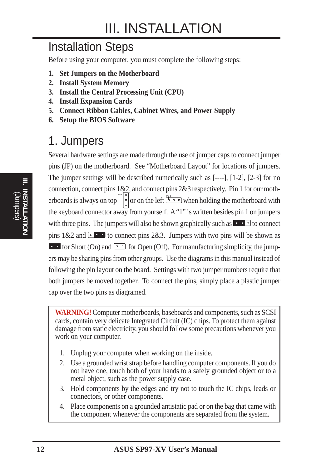## Installation Steps

Before using your computer, you must complete the following steps:

- **1. Set Jumpers on the Motherboard**
- **2. Install System Memory**
- **3. Install the Central Processing Unit (CPU)**
- **4. Install Expansion Cards**
- **5. Connect Ribbon Cables, Cabinet Wires, and Power Supply**
- **6. Setup the BIOS Software**

## 1. Jumpers

Several hardware settings are made through the use of jumper caps to connect jumper pins (JP) on the motherboard. See "Motherboard Layout" for locations of jumpers. The jumper settings will be described numerically such as [----], [1-2], [2-3] for no connection, connect pins 1&2, and connect pins 2&3 respectively. Pin 1 for our motherboards is always on top or on the left  $\frac{p_{n-1}}{p_{n-1}}$  when holding the motherboard with the keyboard connector away from yourself. A "1" is written besides pin 1 on jumpers with three pins. The jumpers will also be shown graphically such as  $\mathbf{r} \cdot \mathbf{r}$  to connect pins  $1&2$  and  $\boxed{2\bullet\bullet}$  to connect pins  $2&3$ . Jumpers with two pins will be shown as **For Short (On) and**  $\boxed{\blacksquare}$  for Open (Off). For manufacturing simplicity, the jumpers may be sharing pins from other groups. Use the diagrams in this manual instead of following the pin layout on the board. Settings with two jumper numbers require that both jumpers be moved together. To connect the pins, simply place a plastic jumper cap over the two pins as diagramed.

**WARNING!** Computer motherboards, baseboards and components, such as SCSI cards, contain very delicate Integrated Circuit (IC) chips. To protect them against damage from static electricity, you should follow some precautions whenever you work on your computer.

- 1. Unplug your computer when working on the inside.
- 2. Use a grounded wrist strap before handling computer components. If you do not have one, touch both of your hands to a safely grounded object or to a metal object, such as the power supply case.
- 3. Hold components by the edges and try not to touch the IC chips, leads or connectors, or other components.
- 4. Place components on a grounded antistatic pad or on the bag that came with the component whenever the components are separated from the system.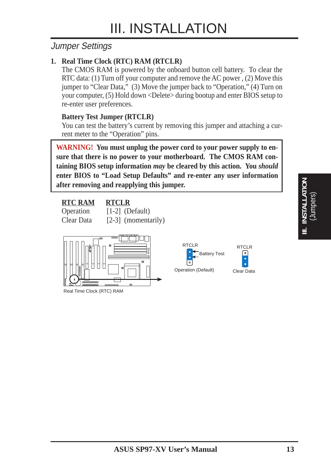### Jumper Settings

### **1. Real Time Clock (RTC) RAM (RTCLR)**

The CMOS RAM is powered by the onboard button cell battery. To clear the RTC data: (1) Turn off your computer and remove the AC power , (2) Move this jumper to "Clear Data," (3) Move the jumper back to "Operation," (4) Turn on your computer, (5) Hold down <Delete> during bootup and enter BIOS setup to re-enter user preferences.

#### **Battery Test Jumper (RTCLR)**

You can test the battery's current by removing this jumper and attaching a current meter to the "Operation" pins.

**WARNING! You must unplug the power cord to your power supply to ensure that there is no power to your motherboard. The CMOS RAM containing BIOS setup information** *may* **be cleared by this action. You** *should* **enter BIOS to "Load Setup Defaults" and re-enter any user information after removing and reapplying this jumper.**

#### **RTC RAM RTCLR**

| Operation  | $[1-2]$ (Default)     |
|------------|-----------------------|
| Clear Data | $[2-3]$ (momentarily) |

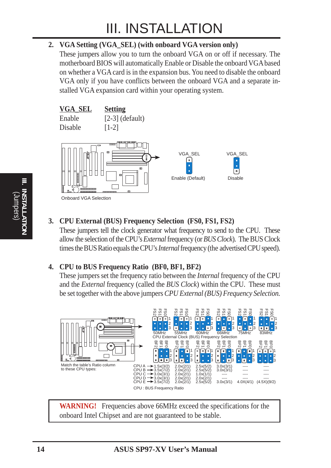### **2. VGA Setting (VGA\_SEL) (with onboard VGA version only)**

These jumpers allow you to turn the onboard VGA on or off if necessary. The motherboard BIOS will automatically Enable or Disable the onboard VGA based on whether a VGA card is in the expansion bus. You need to disable the onboard VGA only if you have conflicts between the onboard VGA and a separate installed VGA expansion card within your operating system.



### **3. CPU External (BUS) Frequency Selection (FS0, FS1, FS2)**

These jumpers tell the clock generator what frequency to send to the CPU. These allow the selection of the CPU's *External* frequency (or *BUS Clock*). The BUS Clock times the BUS Ratio equals the CPU's *Internal* frequency (the advertised CPU speed).

### **4. CPU to BUS Frequency Ratio (BF0, BF1, BF2)**

These jumpers set the frequency ratio between the *Internal* frequency of the CPU and the *External* frequency (called the *BUS Clock*) within the CPU. These must be set together with the above jumpers *CPU External (BUS) Frequency Selection.*



**WARNING!** Frequencies above 66MHz exceed the specifications for the onboard Intel Chipset and are not guaranteed to be stable.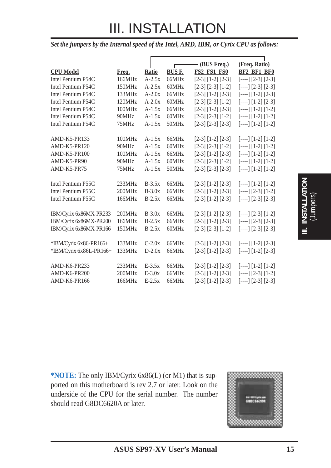*Set the jumpers by the Internal speed of the Intel, AMD, IBM, or Cyrix CPU as follows:*

|                                                                                                  |                                      |                                              | г                                | (BUS Freq.)                                                                              | (Freq. Ratio)                                                                                |
|--------------------------------------------------------------------------------------------------|--------------------------------------|----------------------------------------------|----------------------------------|------------------------------------------------------------------------------------------|----------------------------------------------------------------------------------------------|
| <b>CPU</b> Model                                                                                 | Freq.                                | <b>Ratio</b>                                 | <b>BUS F.</b>                    | <b>FS2 FS1 FS0</b>                                                                       | BF2 BF1 BF0                                                                                  |
| Intel Pentium P54C                                                                               | 166MHz                               | $A-2.5x$                                     | 66MHz                            | $[2-3] [1-2] [2-3]$                                                                      | $[--1]$ [2-3] [2-3]                                                                          |
| Intel Pentium P54C                                                                               | 150MHz                               | $A-2.5x$                                     | 60MHz                            | $[2-3] [2-3] [1-2]$                                                                      | $[--1]$ [2-3] [2-3]                                                                          |
| Intel Pentium P54C                                                                               | 133MHz                               | $A-2.0x$                                     | 66MHz                            | $[2-3] [1-2] [2-3]$                                                                      | $[--1] [1-2] [2-3]$                                                                          |
| Intel Pentium P54C                                                                               | 120MHz                               | $A-2.0x$                                     | 60MHz                            | $[2-3] [2-3] [1-2]$                                                                      | $[--1] [1-2] [2-3]$                                                                          |
| Intel Pentium P54C                                                                               | 100MHz                               | $A-1.5x$                                     | 66MHz                            | $[2-3] [1-2] [2-3]$                                                                      | $[--1] [1-2] [1-2]$                                                                          |
| Intel Pentium P54C                                                                               | 90MHz                                | $A-1.5x$                                     | 60MHz                            | $[2-3] [2-3] [1-2]$                                                                      | $[--1] [1-2] [1-2]$                                                                          |
| Intel Pentium P54C                                                                               | 75MHz                                | $A-1.5x$                                     | 50MHz                            | $[2-3] [2-3] [2-3]$                                                                      | $[--1]$ $[1-2]$ $[1-2]$                                                                      |
| AMD-K5-PR133                                                                                     | 100MHz                               | $A-1.5x$                                     | 66MHz                            | $[2-3] [1-2] [2-3]$                                                                      | $[--1] [1-2] [1-2]$                                                                          |
| AMD-K5-PR120                                                                                     | 90MHz                                | $A-1.5x$                                     | 60MHz                            | $[2-3] [2-3] [1-2]$                                                                      | $[--1] [1-2] [1-2]$                                                                          |
| AMD-K5-PR100                                                                                     | 100MHz                               | $A-1.5x$                                     | 66MHz                            | $[2-3] [1-2] [2-3]$                                                                      | $[--1] [1-2] [1-2]$                                                                          |
| AMD-K5-PR90                                                                                      | 90MHz                                | $A-1.5x$                                     | 60MHz                            | $[2-3] [2-3] [1-2]$                                                                      | $[--1] [1-2] [1-2]$                                                                          |
| AMD-K5-PR75                                                                                      | 75MHz                                | $A-1.5x$                                     | 50MHz                            | $[2-3] [2-3] [2-3]$                                                                      | $[--1] [1-2] [1-2]$                                                                          |
| Intel Pentium P55C                                                                               | 233MHz                               | $B-3.5x$                                     | 66MHz                            | $[2-3] [1-2] [2-3]$                                                                      | $[--1] [1-2] [1-2]$                                                                          |
|                                                                                                  |                                      |                                              |                                  |                                                                                          |                                                                                              |
| Intel Pentium P55C                                                                               | 166MHz                               | $B-2.5x$                                     | 66MHz                            | $[2-3] [1-2] [2-3]$                                                                      | $[--1]$ [2-3] [2-3]                                                                          |
|                                                                                                  |                                      |                                              |                                  |                                                                                          |                                                                                              |
|                                                                                                  |                                      |                                              |                                  |                                                                                          |                                                                                              |
|                                                                                                  |                                      |                                              |                                  |                                                                                          |                                                                                              |
|                                                                                                  |                                      |                                              |                                  |                                                                                          |                                                                                              |
| *IBM/Cyrix 6x86-PR166+                                                                           | 133MHz                               | $C-2.0x$                                     | 66MHz                            | $[2-3] [1-2] [2-3]$                                                                      | $[--1] [1-2] [2-3]$                                                                          |
| *IBM/Cyrix 6x86L-PR166+                                                                          | 133MHz                               | $D-2.0x$                                     | 66MHz                            | $[2-3] [1-2] [2-3]$                                                                      | $[--1]$ $[1-2]$ $[2-3]$                                                                      |
| AMD-K6-PR233                                                                                     | 233MHz                               | $E-3.5x$                                     | 66MHz                            | $[2-3] [1-2] [2-3]$                                                                      | $[--1] [1-2] [1-2]$                                                                          |
| AMD-K6-PR200                                                                                     | 200MHz                               | $E-3.0x$                                     | 66MHz                            | $[2-3] [1-2] [2-3]$                                                                      | $[--1]$ [2-3] [1-2]                                                                          |
| AMD-K6-PR166                                                                                     | 166MHz                               | $E-2.5x$                                     | 66MHz                            | $[2-3] [1-2] [2-3]$                                                                      | $[--1]$ $[2-3]$ $[2-3]$                                                                      |
| Intel Pentium P55C<br>IBM/Cyrix 6x86MX-PR233<br>IBM/Cyrix 6x86MX-PR200<br>IBM/Cyrix 6x86MX-PR166 | 200MHz<br>200MHz<br>166MHz<br>150MHz | $B-3.0x$<br>$B-3.0x$<br>$B-2.5x$<br>$B-2.5x$ | 66MHz<br>66MHz<br>66MHz<br>60MHz | $[2-3] [1-2] [2-3]$<br>$[2-3] [1-2] [2-3]$<br>$[2-3] [1-2] [2-3]$<br>$[2-3] [2-3] [1-2]$ | $[--1]$ [2-3] [1-2]<br>$[--1]$ [2-3] [1-2]<br>$[--1]$ $[2-3]$ $[2-3]$<br>$[--1]$ [2-3] [2-3] |

**\*NOTE:** The only IBM/Cyrix 6x86(L) (or M1) that is supported on this motherboard is rev 2.7 or later. Look on the underside of the CPU for the serial number. The number should read G8DC6620A or later.



(Jumpers) **III. INSTALLATION**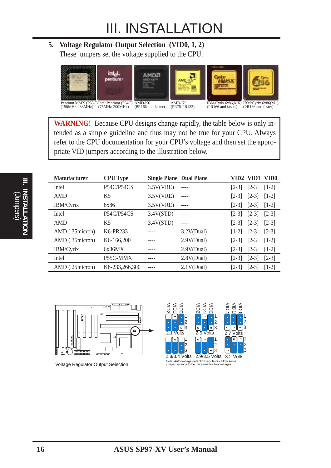### **5. Voltage Regulator Output Selection (VID0, 1, 2)**

These jumpers set the voltage supplied to the CPU.



**WARNING!** Because CPU designs change rapidly, the table below is only intended as a simple guideline and thus may not be true for your CPU. Always refer to the CPU documentation for your CPU's voltage and then set the appropriate VID jumpers according to the illustration below.

| <b>CPU Type</b> |           |            | VID2 VID1 VID0                 |
|-----------------|-----------|------------|--------------------------------|
| P54C/P54CS      | 3.5V(VRE) |            | $[2-3]$<br>$[2-3]$<br>$[1-2]$  |
| K <sub>5</sub>  | 3.5V(VRE) |            | $[2-3]$<br>$[2-3]$<br>$[1-2]$  |
| 6x86            | 3.5V(VRE) |            | $[2-3]$<br>$[2-3]$<br>$[1-2]$  |
| P54C/P54CS      | 3.4V(STD) |            | $[2-3]$<br>$[2-3]$<br>$[2-3]$  |
| K <sub>5</sub>  | 3.4V(STD) |            | $[2-3]$<br>$[2-3]$<br>$[2-3]$  |
| K6-PR233        |           | 3.2V(Dual) | $[2-3]$<br>$[1-2]$<br>$[2-3]$  |
| K6-166,200      |           | 2.9V(Dual) | $[2-3]$<br>$[2-3]$<br>$[1-2]$  |
| 6x86MX          |           | 2.9V(Dual) | $[2-3]$<br>$[2-3]$<br>$[1-2]$  |
| P55C-MMX        |           | 2.8V(Dual) | $[2-3]$<br>$[2-3]$<br>$[2-3]$  |
| K6-233,266,300  |           | 2.1V(Dual) | $[2-3]$<br>$[2-3]$<br>$[1-2]$  |
|                 |           |            | <b>Single Plane Dual Plane</b> |



Voltage Regulator Output Selection



Note: Auto-voltage detection regulators allow some<br>jumper settings to be the same for two voltages.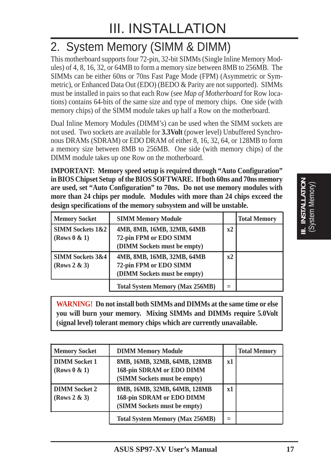## 2. System Memory (SIMM & DIMM)

This motherboard supports four 72-pin, 32-bit SIMMs (Single Inline Memory Modules) of 4, 8, 16, 32, or 64MB to form a memory size between 8MB to 256MB. The SIMMs can be either 60ns or 70ns Fast Page Mode (FPM) (Asymmetric or Symmetric), or Enhanced Data Out (EDO) (BEDO & Parity are not supported). SIMMs must be installed in pairs so that each Row (see *Map of Motherboard* for Row locations) contains 64-bits of the same size and type of memory chips. One side (with memory chips) of the SIMM module takes up half a Row on the motherboard.

Dual Inline Memory Modules (DIMM's) can be used when the SIMM sockets are not used. Two sockets are available for **3.3Volt** (power level) Unbuffered Synchronous DRAMs (SDRAM) or EDO DRAM of either 8, 16, 32, 64, or 128MB to form a memory size between 8MB to 256MB. One side (with memory chips) of the DIMM module takes up one Row on the motherboard.

**IMPORTANT: Memory speed setup is required through "Auto Configuration" in BIOS Chipset Setup of the BIOS SOFTWARE. If both 60ns and 70ns memory are used, set "Auto Configuration" to 70ns. Do not use memory modules with more than 24 chips per module. Modules with more than 24 chips exceed the design specifications of the memory subsystem and will be unstable.**

| <b>Memory Socket</b>                            | <b>SIMM Memory Module</b>                                                            |       | <b>Total Memory</b> |
|-------------------------------------------------|--------------------------------------------------------------------------------------|-------|---------------------|
| <b>SIMM Sockets 1&amp;2</b><br>(Rows $0 \& 1$ ) | 4MB, 8MB, 16MB, 32MB, 64MB<br>72-pin FPM or EDO SIMM<br>(DIMM Sockets must be empty) | $x^2$ |                     |
| <b>SIMM Sockets 3&amp;4</b><br>(Rows 2 & 3)     | 4MB, 8MB, 16MB, 32MB, 64MB<br>72-pin FPM or EDO SIMM<br>(DIMM Sockets must be empty) | $x^2$ |                     |
|                                                 | <b>Total System Memory (Max 256MB)</b>                                               |       |                     |

**WARNING! Do not install both SIMMs and DIMMs at the same time or else you will burn your memory. Mixing SIMMs and DIMMs require 5.0Volt (signal level) tolerant memory chips which are currently unavailable.**

| <b>Memory Socket</b>                     | <b>DIMM Memory Module</b>                                                                 |    | <b>Total Memory</b> |
|------------------------------------------|-------------------------------------------------------------------------------------------|----|---------------------|
| <b>DIMM Socket 1</b><br>(Rows $0 \& 1$ ) | 8MB, 16MB, 32MB, 64MB, 128MB<br>168-pin SDRAM or EDO DIMM<br>(SIMM Sockets must be empty) | x1 |                     |
| <b>DIMM Socket 2</b><br>(Rows 2 & 3)     | 8MB, 16MB, 32MB, 64MB, 128MB<br>168-pin SDRAM or EDO DIMM<br>(SIMM Sockets must be empty) | x1 |                     |
|                                          | <b>Total System Memory (Max 256MB)</b>                                                    |    |                     |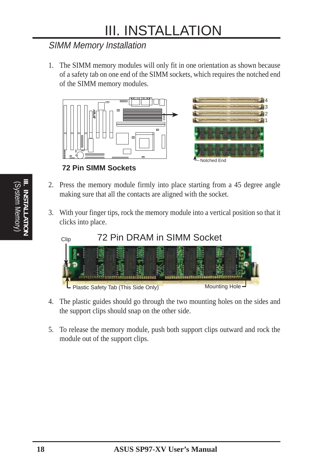### SIMM Memory Installation

1. The SIMM memory modules will only fit in one orientation as shown because of a safety tab on one end of the SIMM sockets, which requires the notched end of the SIMM memory modules.



**72 Pin SIMM Sockets**

Clip

- 2. Press the memory module firmly into place starting from a 45 degree angle making sure that all the contacts are aligned with the socket.
- 3. With your finger tips, rock the memory module into a vertical position so that it clicks into place.

### 72 Pin DRAM in SIMM Socket



- 4. The plastic guides should go through the two mounting holes on the sides and the support clips should snap on the other side.
- 5. To release the memory module, push both support clips outward and rock the module out of the support clips.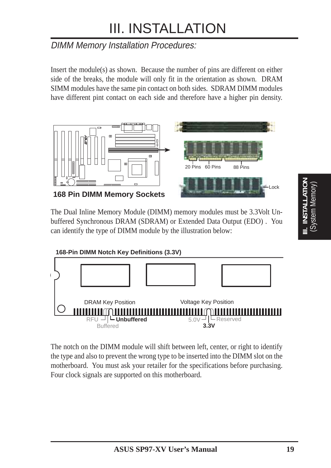### DIMM Memory Installation Procedures:

Insert the module(s) as shown. Because the number of pins are different on either side of the breaks, the module will only fit in the orientation as shown. DRAM SIMM modules have the same pin contact on both sides. SDRAM DIMM modules have different pint contact on each side and therefore have a higher pin density.



**168 Pin DIMM Memory Sockets**

The Dual Inline Memory Module (DIMM) memory modules must be 3.3Volt Unbuffered Synchronous DRAM (SDRAM) or Extended Data Output (EDO) . You can identify the type of DIMM module by the illustration below:



The notch on the DIMM module will shift between left, center, or right to identify the type and also to prevent the wrong type to be inserted into the DIMM slot on the motherboard. You must ask your retailer for the specifications before purchasing. Four clock signals are supported on this motherboard.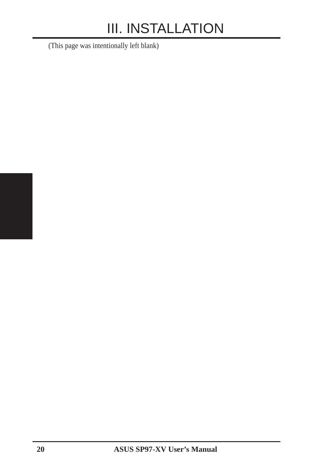(This page was intentionally left blank)

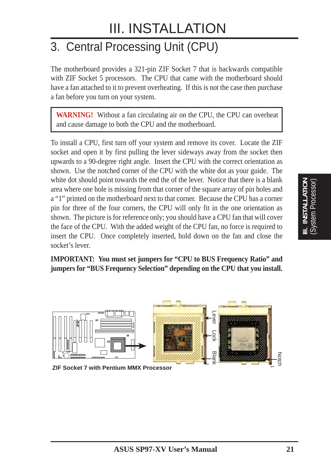## 3. Central Processing Unit (CPU)

The motherboard provides a 321-pin ZIF Socket 7 that is backwards compatible with ZIF Socket 5 processors. The CPU that came with the motherboard should have a fan attached to it to prevent overheating. If this is not the case then purchase a fan before you turn on your system.

**WARNING!** Without a fan circulating air on the CPU, the CPU can overheat and cause damage to both the CPU and the motherboard.

To install a CPU, first turn off your system and remove its cover. Locate the ZIF socket and open it by first pulling the lever sideways away from the socket then upwards to a 90-degree right angle. Insert the CPU with the correct orientation as shown. Use the notched corner of the CPU with the white dot as your guide. The white dot should point towards the end the of the lever. Notice that there is a blank area where one hole is missing from that corner of the square array of pin holes and a "1" printed on the motherboard next to that corner. Because the CPU has a corner pin for three of the four corners, the CPU will only fit in the one orientation as shown. The picture is for reference only; you should have a CPU fan that will cover the face of the CPU. With the added weight of the CPU fan, no force is required to insert the CPU. Once completely inserted, hold down on the fan and close the socket's lever.

**IMPORTANT: You must set jumpers for "CPU to BUS Frequency Ratio" and jumpers for "BUS Frequency Selection" depending on the CPU that you install.**



**ZIF Socket 7 with Pentium MMX Processor**

د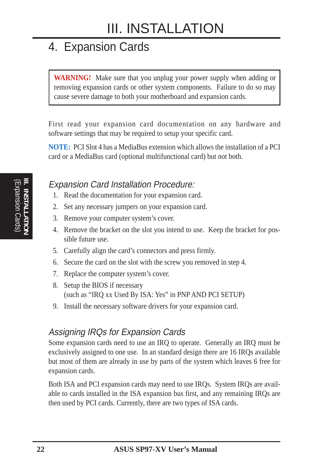## 4. Expansion Cards

**WARNING!** Make sure that you unplug your power supply when adding or removing expansion cards or other system components. Failure to do so may cause severe damage to both your motherboard and expansion cards.

First read your expansion card documentation on any hardware and software settings that may be required to setup your specific card.

**NOTE:** PCI Slot 4 has a MediaBus extension which allows the installation of a PCI card or a MediaBus card (optional multifunctional card) but not both.

### Expansion Card Installation Procedure:

- 1. Read the documentation for your expansion card.
- 2. Set any necessary jumpers on your expansion card.
- 3. Remove your computer system's cover.
- 4. Remove the bracket on the slot you intend to use. Keep the bracket for possible future use.
- 5. Carefully align the card's connectors and press firmly.
- 6. Secure the card on the slot with the screw you removed in step 4.
- 7. Replace the computer system's cover.
- 8. Setup the BIOS if necessary (such as "IRQ xx Used By ISA: Yes" in PNP AND PCI SETUP)
- 9. Install the necessary software drivers for your expansion card.

### Assigning IRQs for Expansion Cards

Some expansion cards need to use an IRQ to operate. Generally an IRQ must be exclusively assigned to one use. In an standard design there are 16 IRQs available but most of them are already in use by parts of the system which leaves 6 free for expansion cards.

Both ISA and PCI expansion cards may need to use IRQs. System IRQs are available to cards installed in the ISA expansion bus first, and any remaining IRQs are then used by PCI cards. Currently, there are two types of ISA cards.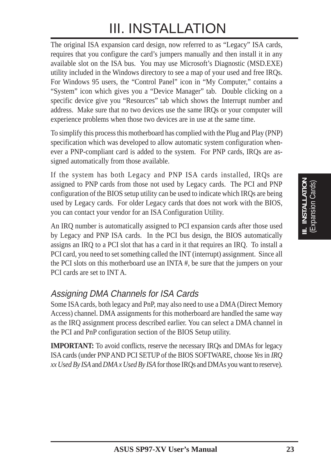The original ISA expansion card design, now referred to as "Legacy" ISA cards, requires that you configure the card's jumpers manually and then install it in any available slot on the ISA bus. You may use Microsoft's Diagnostic (MSD.EXE) utility included in the Windows directory to see a map of your used and free IRQs. For Windows 95 users, the "Control Panel" icon in "My Computer," contains a "System" icon which gives you a "Device Manager" tab. Double clicking on a specific device give you "Resources" tab which shows the Interrupt number and address. Make sure that no two devices use the same IRQs or your computer will experience problems when those two devices are in use at the same time.

To simplify this process this motherboard has complied with the Plug and Play (PNP) specification which was developed to allow automatic system configuration whenever a PNP-compliant card is added to the system. For PNP cards, IRQs are assigned automatically from those available.

If the system has both Legacy and PNP ISA cards installed, IRQs are assigned to PNP cards from those not used by Legacy cards. The PCI and PNP configuration of the BIOS setup utility can be used to indicate which IRQs are being used by Legacy cards. For older Legacy cards that does not work with the BIOS, you can contact your vendor for an ISA Configuration Utility.

An IRQ number is automatically assigned to PCI expansion cards after those used by Legacy and PNP ISA cards. In the PCI bus design, the BIOS automatically assigns an IRQ to a PCI slot that has a card in it that requires an IRQ. To install a PCI card, you need to set something called the INT (interrupt) assignment. Since all the PCI slots on this motherboard use an INTA #, be sure that the jumpers on your PCI cards are set to INT A.

### Assigning DMA Channels for ISA Cards

Some ISA cards, both legacy and PnP, may also need to use a DMA (Direct Memory Access) channel. DMA assignments for this motherboard are handled the same way as the IRQ assignment process described earlier. You can select a DMA channel in the PCI and PnP configuration section of the BIOS Setup utility.

**IMPORTANT:** To avoid conflicts, reserve the necessary IRQs and DMAs for legacy ISA cards (under PNP AND PCI SETUP of the BIOS SOFTWARE, choose *Yes* in *IRQ xx Used By ISA* and *DMA x Used By ISA* for those IRQs and DMAs you want to reserve).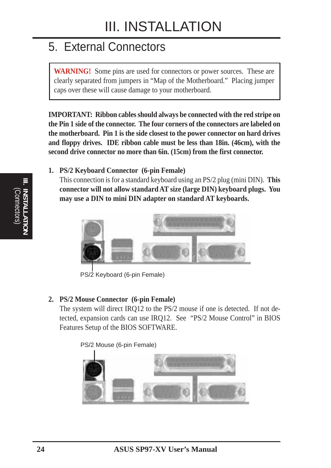## 5. External Connectors

**WARNING!** Some pins are used for connectors or power sources. These are clearly separated from jumpers in "Map of the Motherboard." Placing jumper caps over these will cause damage to your motherboard.

**IMPORTANT: Ribbon cables should always be connected with the red stripe on the Pin 1 side of the connector. The four corners of the connectors are labeled on the motherboard. Pin 1 is the side closest to the power connector on hard drives and floppy drives. IDE ribbon cable must be less than 18in. (46cm), with the second drive connector no more than 6in. (15cm) from the first connector.**

**1. PS/2 Keyboard Connector (6-pin Female)**

This connection is for a standard keyboard using an PS/2 plug (mini DIN). **This connector will not allow standard AT size (large DIN) keyboard plugs. You may use a DIN to mini DIN adapter on standard AT keyboards.**



PS/2 Keyboard (6-pin Female)

#### **2. PS/2 Mouse Connector (6-pin Female)**

The system will direct IRQ12 to the PS/2 mouse if one is detected. If not detected, expansion cards can use IRQ12. See "PS/2 Mouse Control" in BIOS Features Setup of the BIOS SOFTWARE.

PS/2 Mouse (6-pin Female)



(Connectors) **III. INSTALLATION**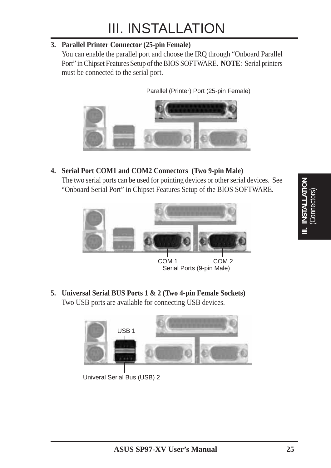### **3. Parallel Printer Connector (25-pin Female)**

You can enable the parallel port and choose the IRQ through "Onboard Parallel Port" in Chipset Features Setup of the BIOS SOFTWARE. **NOTE**: Serial printers must be connected to the serial port.



**4. Serial Port COM1 and COM2 Connectors (Two 9-pin Male)** The two serial ports can be used for pointing devices or other serial devices. See "Onboard Serial Port" in Chipset Features Setup of the BIOS SOFTWARE.



- Serial Ports (9-pin Male)
- **5. Universal Serial BUS Ports 1 & 2 (Two 4-pin Female Sockets)** Two USB ports are available for connecting USB devices.



Univeral Serial Bus (USB) 2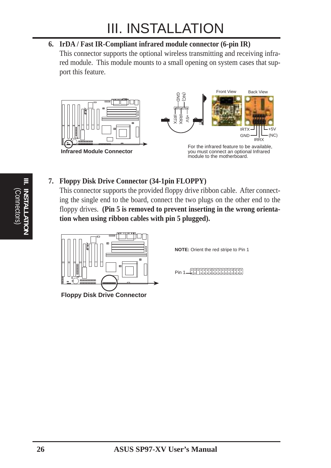**6. IrDA / Fast IR-Compliant infrared module connector (6-pin IR)**

This connector supports the optional wireless transmitting and receiving infrared module. This module mounts to a small opening on system cases that support this feature.



### **7. Floppy Disk Drive Connector (34-1pin FLOPPY)**

This connector supports the provided floppy drive ribbon cable. After connecting the single end to the board, connect the two plugs on the other end to the floppy drives. **(Pin 5 is removed to prevent inserting in the wrong orientation when using ribbon cables with pin 5 plugged).**



**Floppy Disk Drive Connector**

**NOTE:** Orient the red stripe to Pin 1

Pin 1<sup>9</sup>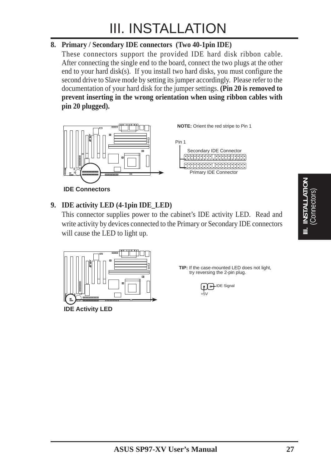### **8. Primary / Secondary IDE connectors (Two 40-1pin IDE)**

These connectors support the provided IDE hard disk ribbon cable. After connecting the single end to the board, connect the two plugs at the other end to your hard disk(s). If you install two hard disks, you must configure the second drive to Slave mode by setting its jumper accordingly. Please refer to the documentation of your hard disk for the jumper settings. **(Pin 20 is removed to prevent inserting in the wrong orientation when using ribbon cables with pin 20 plugged).**



### **9. IDE activity LED (4-1pin IDE\_LED)**

This connector supplies power to the cabinet's IDE activity LED. Read and write activity by devices connected to the Primary or Secondary IDE connectors will cause the LED to light up.



**IDE Activity LED**

**TIP:** If the case-mounted LED does not light, try reversing the 2-pin plug.

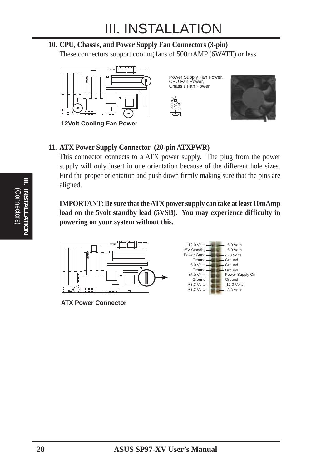### **10. CPU, Chassis, and Power Supply Fan Connectors (3-pin)**

These connectors support cooling fans of 500mAMP (6WATT) or less.



**12Volt Cooling Fan Power**







### **11. ATX Power Supply Connector (20-pin ATXPWR)**

This connector connects to a ATX power supply. The plug from the power supply will only insert in one orientation because of the different hole sizes. Find the proper orientation and push down firmly making sure that the pins are aligned.

**IMPORTANT: Be sure that the ATX power supply can take at least 10mAmp load on the 5volt standby lead (5VSB). You may experience difficulty in powering on your system without this.**



**ATX Power Connector**

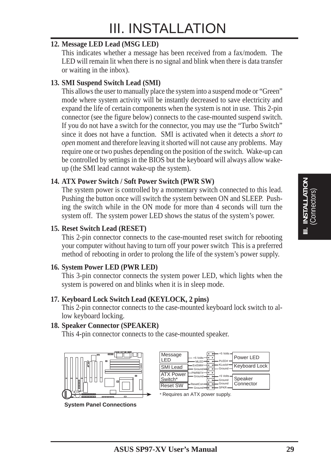### **12. Message LED Lead (MSG LED)**

This indicates whether a message has been received from a fax/modem. The LED will remain lit when there is no signal and blink when there is data transfer or waiting in the inbox).

### **13. SMI Suspend Switch Lead (SMI)**

This allows the user to manually place the system into a suspend mode or "Green" mode where system activity will be instantly decreased to save electricity and expand the life of certain components when the system is not in use. This 2-pin connector (see the figure below) connects to the case-mounted suspend switch. If you do not have a switch for the connector, you may use the "Turbo Switch" since it does not have a function. SMI is activated when it detects a *short to open* moment and therefore leaving it shorted will not cause any problems. May require one or two pushes depending on the position of the switch. Wake-up can be controlled by settings in the BIOS but the keyboard will always allow wakeup (the SMI lead cannot wake-up the system).

### **14. ATX Power Switch / Soft Power Switch (PWR SW)**

The system power is controlled by a momentary switch connected to this lead. Pushing the button once will switch the system between ON and SLEEP. Pushing the switch while in the ON mode for more than 4 seconds will turn the system off. The system power LED shows the status of the system's power.

### **15. Reset Switch Lead (RESET)**

This 2-pin connector connects to the case-mounted reset switch for rebooting your computer without having to turn off your power switch This is a preferred method of rebooting in order to prolong the life of the system's power supply.

#### **16. System Power LED (PWR LED)**

This 3-pin connector connects the system power LED, which lights when the system is powered on and blinks when it is in sleep mode.

### **17. Keyboard Lock Switch Lead (KEYLOCK, 2 pins)**

This 2-pin connector connects to the case-mounted keyboard lock switch to allow keyboard locking.

### **18. Speaker Connector (SPEAKER)**

This 4-pin connector connects to the case-mounted speaker.







\* Requires an ATX power supply.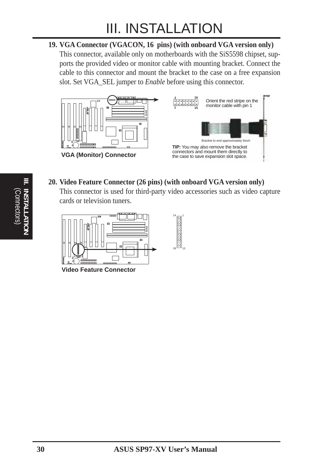### **19. VGA Connector (VGACON, 16 pins) (with onboard VGA version only)**

This connector, available only on motherboards with the SiS5598 chipset, supports the provided video or monitor cable with mounting bracket. Connect the cable to this connector and mount the bracket to the case on a free expansion slot. Set VGA\_SEL jumper to *Enable* before using this connector.



**20. Video Feature Connector (26 pins) (with onboard VGA version only)** This connector is used for third-party video accessories such as video capture cards or television tuners.



**Video Feature Connector**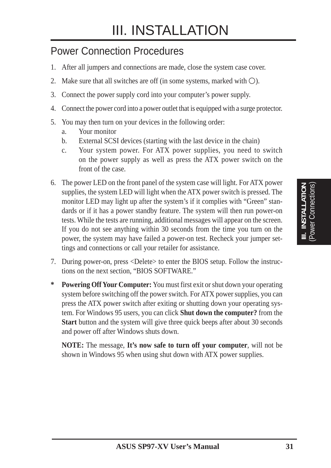### Power Connection Procedures

- 1. After all jumpers and connections are made, close the system case cover.
- 2. Make sure that all switches are off (in some systems, marked with  $\bigcirc$ ).
- 3. Connect the power supply cord into your computer's power supply.
- 4. Connect the power cord into a power outlet that is equipped with a surge protector.
- 5. You may then turn on your devices in the following order:
	- a. Your monitor
	- b. External SCSI devices (starting with the last device in the chain)
	- c. Your system power. For ATX power supplies, you need to switch on the power supply as well as press the ATX power switch on the front of the case.
- 6. The power LED on the front panel of the system case will light. For ATX power supplies, the system LED will light when the ATX power switch is pressed. The monitor LED may light up after the system's if it complies with "Green" standards or if it has a power standby feature. The system will then run power-on tests. While the tests are running, additional messages will appear on the screen. If you do not see anything within 30 seconds from the time you turn on the power, the system may have failed a power-on test. Recheck your jumper settings and connections or call your retailer for assistance.
- 7. During power-on, press <Delete> to enter the BIOS setup. Follow the instructions on the next section, "BIOS SOFTWARE."
- **\* Powering Off Your Computer:** You must first exit or shut down your operating system before switching off the power switch. For ATX power supplies, you can press the ATX power switch after exiting or shutting down your operating system. For Windows 95 users, you can click **Shut down the computer?** from the **Start** button and the system will give three quick beeps after about 30 seconds and power off after Windows shuts down.

**NOTE:** The message, **It's now safe to turn off your computer**, will not be shown in Windows 95 when using shut down with ATX power supplies.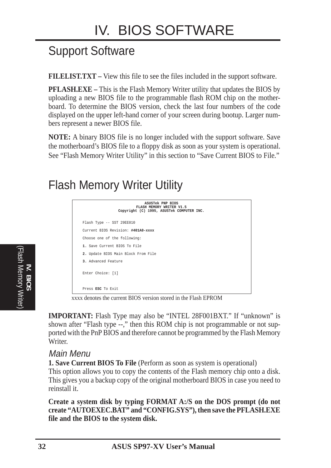## Support Software

**FILELIST.TXT –** View this file to see the files included in the support software.

**PFLASH.EXE –** This is the Flash Memory Writer utility that updates the BIOS by uploading a new BIOS file to the programmable flash ROM chip on the motherboard. To determine the BIOS version, check the last four numbers of the code displayed on the upper left-hand corner of your screen during bootup. Larger numbers represent a newer BIOS file.

**NOTE:** A binary BIOS file is no longer included with the support software. Save the motherboard's BIOS file to a floppy disk as soon as your system is operational. See "Flash Memory Writer Utility" in this section to "Save Current BIOS to File."

## Flash Memory Writer Utility

| ASUSTek PNP BIOS<br>FLASH MEMORY WRITER V1.5<br>Copyright (C) 1995, ASUSTek COMPUTER INC. |
|-------------------------------------------------------------------------------------------|
| Flash Type -- SST 29EE010                                                                 |
| Current BIOS Revision: #401A0-xxxx                                                        |
| Choose one of the following:                                                              |
| 1. Save Current BIOS To File                                                              |
| 2. Update BIOS Main Block From File                                                       |
| 3. Advanced Feature                                                                       |
| Enter Choice: [1]                                                                         |
| Press ESC To Exit                                                                         |

xxxx denotes the current BIOS version stored in the Flash EPROM

**IMPORTANT:** Flash Type may also be "INTEL 28F001BXT." If "unknown" is shown after "Flash type --," then this ROM chip is not programmable or not supported with the PnP BIOS and therefore cannot be programmed by the Flash Memory Writer.

### Main Menu

**1. Save Current BIOS To File** (Perform as soon as system is operational) This option allows you to copy the contents of the Flash memory chip onto a disk. This gives you a backup copy of the original motherboard BIOS in case you need to reinstall it.

**Create a system disk by typing FORMAT A:/S on the DOS prompt (do not create "AUTOEXEC.BAT" and "CONFIG.SYS"), then save the PFLASH.EXE file and the BIOS to the system disk.**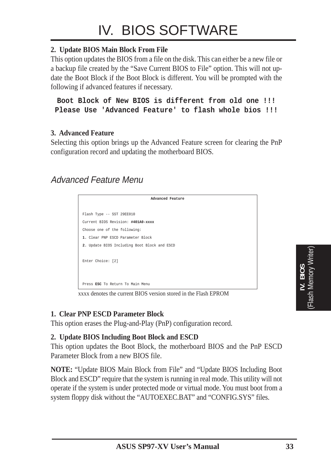#### **2. Update BIOS Main Block From File**

This option updates the BIOS from a file on the disk. This can either be a new file or a backup file created by the "Save Current BIOS to File" option. This will not update the Boot Block if the Boot Block is different. You will be prompted with the following if advanced features if necessary.

```
Boot Block of New BIOS is different from old one !!!
Please Use 'Advanced Feature' to flash whole bios !!!
```
#### **3. Advanced Feature**

Selecting this option brings up the Advanced Feature screen for clearing the PnP configuration record and updating the motherboard BIOS.

### Advanced Feature Menu

| Advanced Feature                             |
|----------------------------------------------|
|                                              |
|                                              |
| Flash Type -- SST 29EE010                    |
| Current BIOS Revision: #401A0-xxxx           |
| Choose one of the following:                 |
| 1. Clear PNP ESCD Parameter Block            |
| 2. Update BIOS Including Boot Block and ESCD |
|                                              |
| Enter Choice: [2]                            |
|                                              |
|                                              |
|                                              |
| Press ESC To Return To Main Menu             |

xxxx denotes the current BIOS version stored in the Flash EPROM

### **1. Clear PNP ESCD Parameter Block**

This option erases the Plug-and-Play (PnP) configuration record.

### **2. Update BIOS Including Boot Block and ESCD**

This option updates the Boot Block, the motherboard BIOS and the PnP ESCD Parameter Block from a new BIOS file.

**NOTE:** "Update BIOS Main Block from File" and "Update BIOS Including Boot Block and ESCD" require that the system is running in real mode. This utility will not operate if the system is under protected mode or virtual mode. You must boot from a system floppy disk without the "AUTOEXEC.BAT" and "CONFIG.SYS" files.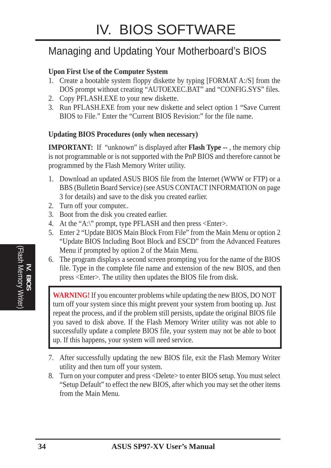## Managing and Updating Your Motherboard's BIOS

### **Upon First Use of the Computer System**

- 1. Create a bootable system floppy diskette by typing [FORMAT A:/S] from the DOS prompt without creating "AUTOEXEC.BAT" and "CONFIG.SYS" files.
- 2. Copy PFLASH.EXE to your new diskette.
- 3. Run PFLASH.EXE from your new diskette and select option 1 "Save Current BIOS to File." Enter the "Current BIOS Revision:" for the file name.

### **Updating BIOS Procedures (only when necessary)**

**IMPORTANT:** If "unknown" is displayed after **Flash Type --**, the memory chip is not programmable or is not supported with the PnP BIOS and therefore cannot be programmed by the Flash Memory Writer utility.

- 1. Download an updated ASUS BIOS file from the Internet (WWW or FTP) or a BBS (Bulletin Board Service) (see ASUS CONTACT INFORMATION on page 3 for details) and save to the disk you created earlier.
- 2. Turn off your computer..
- 3. Boot from the disk you created earlier.
- 4. At the "A:\" prompt, type PFLASH and then press <Enter>.
- 5. Enter 2 "Update BIOS Main Block From File" from the Main Menu or option 2 "Update BIOS Including Boot Block and ESCD" from the Advanced Features Menu if prompted by option 2 of the Main Menu.
- 6. The program displays a second screen prompting you for the name of the BIOS file. Type in the complete file name and extension of the new BIOS, and then press <Enter>. The utility then updates the BIOS file from disk.

**WARNING!** If you encounter problems while updating the new BIOS, DO NOT turn off your system since this might prevent your system from booting up. Just repeat the process, and if the problem still persists, update the original BIOS file you saved to disk above. If the Flash Memory Writer utility was not able to successfully update a complete BIOS file, your system may not be able to boot up. If this happens, your system will need service.

- 7. After successfully updating the new BIOS file, exit the Flash Memory Writer utility and then turn off your system.
- 8. Turn on your computer and press <Delete> to enter BIOS setup. You must select "Setup Default" to effect the new BIOS, after which you may set the other items from the Main Menu.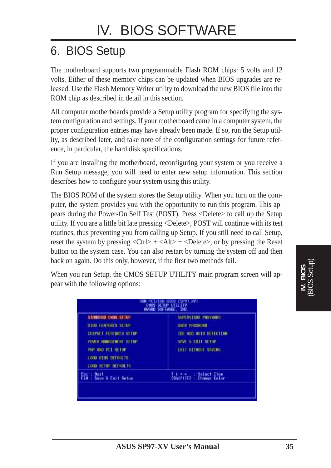## 6. BIOS Setup

The motherboard supports two programmable Flash ROM chips: 5 volts and 12 volts. Either of these memory chips can be updated when BIOS upgrades are released. Use the Flash Memory Writer utility to download the new BIOS file into the ROM chip as described in detail in this section.

All computer motherboards provide a Setup utility program for specifying the system configuration and settings. If your motherboard came in a computer system, the proper configuration entries may have already been made. If so, run the Setup utility, as described later, and take note of the configuration settings for future reference, in particular, the hard disk specifications.

If you are installing the motherboard, reconfiguring your system or you receive a Run Setup message, you will need to enter new setup information. This section describes how to configure your system using this utility.

The BIOS ROM of the system stores the Setup utility. When you turn on the computer, the system provides you with the opportunity to run this program. This appears during the Power-On Self Test (POST). Press <Delete> to call up the Setup utility. If you are a little bit late pressing <Delete>, POST will continue with its test routines, thus preventing you from calling up Setup. If you still need to call Setup, reset the system by pressing  $\langle \text{Ctrl} \rangle + \langle \text{Alt} \rangle + \langle \text{Delete} \rangle$ , or by pressing the Reset button on the system case. You can also restart by turning the system off and then back on again. Do this only, however, if the first two methods fail.

When you run Setup, the CMOS SETUP UTILITY main program screen will appear with the following options:

| _KV I<br>ш<br>CHOS SETUP UTILITY<br>ANARD SOFTWARE, INC.                                                                                                                  |                                                                                                                   |  |  |  |  |
|---------------------------------------------------------------------------------------------------------------------------------------------------------------------------|-------------------------------------------------------------------------------------------------------------------|--|--|--|--|
| STANDARD CHOS SETUP<br><b>810S FEATURES SETUP</b><br>GHIPSET FEATURES SETUP<br>POWER MRNAGEMENT SETUP<br>PMP AND PCT SETUP<br>LORD BIOS DEFINILTS.<br>LOOD SETUP DEFAULTS | SUPERVISOR PASSNORD<br><b>USER PRSSHORD</b><br>THE HOD GUTD DETECTION<br>SAVE & EXIT SETUP<br>EXIT WITHOUT SAVING |  |  |  |  |
| <b>Ouit</b><br>F10 : Save & Exit Setup                                                                                                                                    | + + Select Item<br>(Snift]F2 : Change Color                                                                       |  |  |  |  |

**IV. BIOS** (BIOS Setup)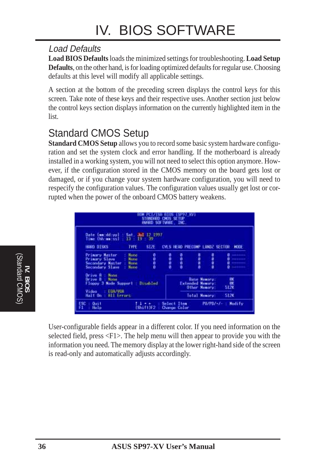### Load Defaults

**Load BIOS Defaults** loads the minimized settings for troubleshooting. **Load Setup Defaults**, on the other hand, is for loading optimized defaults for regular use. Choosing defaults at this level will modify all applicable settings.

A section at the bottom of the preceding screen displays the control keys for this screen. Take note of these keys and their respective uses. Another section just below the control keys section displays information on the currently highlighted item in the list.

## Standard CMOS Setup

**Standard CMOS Setup** allows you to record some basic system hardware configuration and set the system clock and error handling. If the motherboard is already installed in a working system, you will not need to select this option anymore. However, if the configuration stored in the CMOS memory on the board gets lost or damaged, or if you change your system hardware configuration, you will need to respecify the configuration values. The configuration values usually get lost or corrupted when the power of the onboard CMOS battery weakens.

|                                                                                      |                                            | STANDARD CHOS SETUP<br>AWARD SOFTWARE, INC. |                                |                                                                                    |                                |        |                    |      |
|--------------------------------------------------------------------------------------|--------------------------------------------|---------------------------------------------|--------------------------------|------------------------------------------------------------------------------------|--------------------------------|--------|--------------------|------|
| Date (mm:dd:yy) :<br>Time (hh:mm:ss) :<br>Sat. Jul 12 1997<br>$13 +$<br>+ 99<br>19   |                                            |                                             |                                |                                                                                    |                                |        |                    |      |
| HERD DISKS                                                                           | <b>TYPE</b>                                | <b>SE/E</b>                                 |                                |                                                                                    | CYLS HEAD PRECOMP LANDZ SECTOR |        |                    | HODE |
| <b>Primary Master</b><br><b>Primury Slave</b><br>Secondary Master<br>Secondary Slave | None<br><b>None</b><br><b>None</b><br>None | 888                                         | ,,,,                           | Ð<br>000                                                                           | 电非射线                           | A<br>A |                    |      |
| Drive R.<br>: Hone<br>Drive B. : None<br><b>Disabled</b><br>Floppy 3 Mode Support    |                                            |                                             |                                | $rac{68}{5128}$<br><b>Base Namory:</b><br><b>Extended Memory:</b><br>Other Memory: |                                |        |                    |      |
| Video<br>EGA/VGA<br><b>All Frrans</b><br>Halt On-                                    |                                            |                                             |                                |                                                                                    | Total Memory:                  | 512K   |                    |      |
| Ouit<br>ESC.<br>Help<br>F1                                                           |                                            | Shift)F2                                    | Select Item<br>Charitie: Color |                                                                                    |                                |        | PU/PD/+/- : Modify |      |

User-configurable fields appear in a different color. If you need information on the selected field, press <F1>. The help menu will then appear to provide you with the information you need. The memory display at the lower right-hand side of the screen is read-only and automatically adjusts accordingly.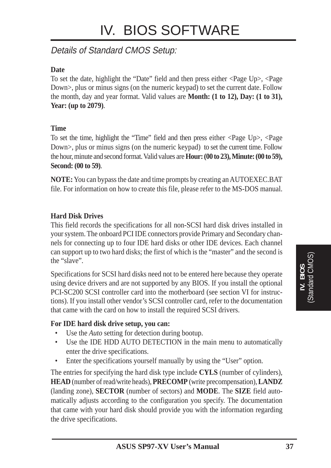# Details of Standard CMOS Setup:

### **Date**

To set the date, highlight the "Date" field and then press either <Page Up>, <Page Down>, plus or minus signs (on the numeric keypad) to set the current date. Follow the month, day and year format. Valid values are **Month: (1 to 12), Day: (1 to 31), Year: (up to 2079)**.

#### **Time**

To set the time, highlight the "Time" field and then press either <Page Up>, <Page Down>, plus or minus signs (on the numeric keypad) to set the current time. Follow the hour, minute and second format. Valid values are **Hour: (00 to 23), Minute: (00 to 59), Second: (00 to 59)**.

**NOTE:** You can bypass the date and time prompts by creating an AUTOEXEC.BAT file. For information on how to create this file, please refer to the MS-DOS manual.

# **Hard Disk Drives**

This field records the specifications for all non-SCSI hard disk drives installed in your system. The onboard PCI IDE connectors provide Primary and Secondary channels for connecting up to four IDE hard disks or other IDE devices. Each channel can support up to two hard disks; the first of which is the "master" and the second is the "slave".

Specifications for SCSI hard disks need not to be entered here because they operate using device drivers and are not supported by any BIOS. If you install the optional PCI-SC200 SCSI controller card into the motherboard (see section VI for instructions). If you install other vendor's SCSI controller card, refer to the documentation that came with the card on how to install the required SCSI drivers.

#### **For IDE hard disk drive setup, you can:**

- Use the *Auto* setting for detection during bootup.
- Use the IDE HDD AUTO DETECTION in the main menu to automatically enter the drive specifications.
- Enter the specifications yourself manually by using the "User" option.

The entries for specifying the hard disk type include **CYLS** (number of cylinders), **HEAD** (number of read/write heads), **PRECOMP** (write precompensation), **LANDZ** (landing zone), **SECTOR** (number of sectors) and **MODE**. The **SIZE** field automatically adjusts according to the configuration you specify. The documentation that came with your hard disk should provide you with the information regarding the drive specifications.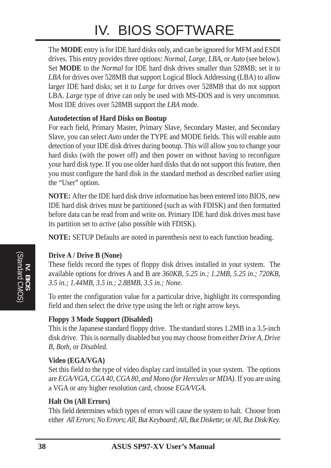# IV. BIOS SOFTWARE

The **MODE** entry is for IDE hard disks only, and can be ignored for MFM and ESDI drives. This entry provides three options: *Normal, Large, LBA*, or *Auto* (see below). Set **MODE** to the *Normal* for IDE hard disk drives smaller than 528MB; set it to *LBA* for drives over 528MB that support Logical Block Addressing (LBA) to allow larger IDE hard disks; set it to *Large* for drives over 528MB that do not support LBA. *Large* type of drive can only be used with MS-DOS and is very uncommon. Most IDE drives over 528MB support the *LBA* mode.

# **Autodetection of Hard Disks on Bootup**

For each field, Primary Master, Primary Slave, Secondary Master, and Secondary Slave, you can select *Auto* under the TYPE and MODE fields. This will enable auto detection of your IDE disk drives during bootup. This will allow you to change your hard disks (with the power off) and then power on without having to reconfigure your hard disk type. If you use older hard disks that do not support this feature, then you must configure the hard disk in the standard method as described earlier using the "User" option.

**NOTE:** After the IDE hard disk drive information has been entered into BIOS, new IDE hard disk drives must be partitioned (such as with FDISK) and then formatted before data can be read from and write on. Primary IDE hard disk drives must have its partition set to *active* (also possible with FDISK).

**NOTE:** SETUP Defaults are noted in parenthesis next to each function heading.

# **Drive A / Drive B (None)**

These fields record the types of floppy disk drives installed in your system. The available options for drives A and B are *360KB, 5.25 in.; 1.2MB, 5.25 in.; 720KB, 3.5 in.; 1.44MB, 3.5 in.; 2.88MB, 3.5 in.; None.*

To enter the configuration value for a particular drive, highlight its corresponding field and then select the drive type using the left or right arrow keys.

# **Floppy 3 Mode Support (Disabled)**

This is the Japanese standard floppy drive. The standard stores 1.2MB in a 3.5-inch disk drive. This is normally disabled but you may choose from either *Drive A*, *Drive B*, *Both*, or *Disabled.*

# **Video (EGA/VGA)**

Set this field to the type of video display card installed in your system. The options are *EGA/VGA*, *CGA 40*, *CGA 80*, *and Mono (for Hercules or MDA).* If you are using a VGA or any higher resolution card, choose *EGA/VGA*.

# **Halt On (All Errors)**

This field determines which types of errors will cause the system to halt. Choose from either *All Errors*; *No Errors*; *All, But Keyboard*; *All, But Diskette*; or *All, But Disk/Key.*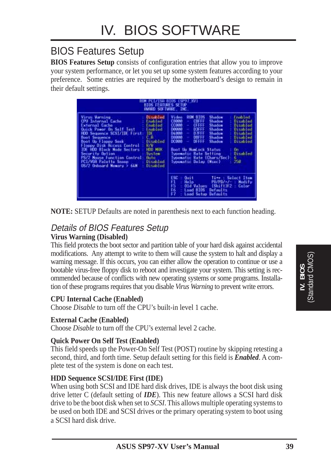# BIOS Features Setup

**BIOS Features Setup** consists of configuration entries that allow you to improve your system performance, or let you set up some system features according to your preference. Some entries are required by the motherboard's design to remain in their default settings.

| (SP97 KV)<br><b>BIOS</b><br>HUM FCT/15B<br><b>BIOS FEATURES SETUP</b><br>AIARD SOFTWARE, INC.                                                                                                                                                                                                                                                                                                                                                                                                                                  |                                                                                                                                                                                                                                                                                                                                                                                                                                                                                                                                                                                                                                                                              |  |  |  |  |  |
|--------------------------------------------------------------------------------------------------------------------------------------------------------------------------------------------------------------------------------------------------------------------------------------------------------------------------------------------------------------------------------------------------------------------------------------------------------------------------------------------------------------------------------|------------------------------------------------------------------------------------------------------------------------------------------------------------------------------------------------------------------------------------------------------------------------------------------------------------------------------------------------------------------------------------------------------------------------------------------------------------------------------------------------------------------------------------------------------------------------------------------------------------------------------------------------------------------------------|--|--|--|--|--|
| Disabled<br><b>Virus</b> Marning<br>Enabled<br>CPU Internal Cache<br><b>External Cache</b><br>Enabled<br><b>Ouick Power On Salf Test</b><br>Englished<br>HDD Sequence SCSI/IDE First<br>TDE:<br>C.B.<br><b>Boot Sequence</b><br>Disabled<br>Boot Up Floppy Seek<br>Floppy Disk Access Control<br><b>R/W</b><br><b>IDE HOD Block Mode Sectors</b><br>HDD HEDC<br>Security Option<br>System<br><b>PS/2 Mouse Function Control:</b><br><b>Fisto</b><br>PCL/VGA Palette Snoop<br>Disabled<br>OS/2 Onboard Numery > 64N<br>Disabiad | <b>RON BIOS</b><br><b>Enabled</b><br>Video<br>Shadow<br><b>CBLER</b><br>C8808<br><b>Shadow</b><br>Disabled<br>CFFFF<br>00888<br>Disabled<br><b>Shadow</b><br>٠<br>DOFFF<br><b>DOOOO</b><br>$\blacktriangleright$<br><b>Shadow</b><br><b>Disabled</b><br><b>DARNIE</b><br>0711<br>Shadow<br>Disabled<br>÷<br>08080<br><b>DBITT</b><br>Disabled<br><b>Shadow</b><br>DEEFE<br>DC288<br>Disabled<br>Shadow<br>Un.<br><b>Boot Up MunLock Status</b><br><b>Typematic Rate Setting</b><br>Disabled<br><b>Typematic Rate (Chars/Sec):</b><br>6-.<br>258<br><b>Iveematic Delay (Msec)</b><br>ESC<br>$0$ ui 1<br>Time : Soloct Itom<br>Halp <sup>1</sup><br>PU/PD/+/-<br><b>Modify</b> |  |  |  |  |  |
|                                                                                                                                                                                                                                                                                                                                                                                                                                                                                                                                | 日報<br>(Shift)F2<br><b>Old Values</b><br>Color<br>Lond BIOS<br>Defaults<br>F7<br>Lond Setup Dafnults                                                                                                                                                                                                                                                                                                                                                                                                                                                                                                                                                                          |  |  |  |  |  |



# Details of BIOS Features Setup **Virus Warning (Disabled)**

This field protects the boot sector and partition table of your hard disk against accidental modifications. Any attempt to write to them will cause the system to halt and display a warning message. If this occurs, you can either allow the operation to continue or use a bootable virus-free floppy disk to reboot and investigate your system. This setting is recommended because of conflicts with new operating systems or some programs. Installation of these programs requires that you disable *Virus Warning* to prevent write errors.

# **CPU Internal Cache (Enabled)**

Choose *Disable* to turn off the CPU's built-in level 1 cache.

# **External Cache (Enabled)**

Choose *Disable* to turn off the CPU's external level 2 cache.

#### **Quick Power On Self Test (Enabled)**

This field speeds up the Power-On Self Test (POST) routine by skipping retesting a second, third, and forth time. Setup default setting for this field is *Enabled*. A complete test of the system is done on each test.

# **HDD Sequence SCSI/IDE First (IDE)**

When using both SCSI and IDE hard disk drives, IDE is always the boot disk using drive letter C (default setting of *IDE*). This new feature allows a SCSI hard disk drive to be the boot disk when set to *SCSI*. This allows multiple operating systems to be used on both IDE and SCSI drives or the primary operating system to boot using a SCSI hard disk drive.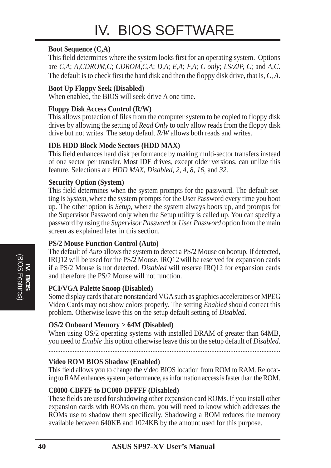# **Boot Sequence (C,A)**

This field determines where the system looks first for an operating system. Options are *C,A*; *A,CDROM,C*; *CDROM,C,A*; *D,A*; *E,A*; *F,A*; *C only*; *LS/ZIP, C*; and *A,C*. The default is to check first the hard disk and then the floppy disk drive, that is, *C, A*.

# **Boot Up Floppy Seek (Disabled)**

When enabled, the BIOS will seek drive A one time.

### **Floppy Disk Access Control (R/W)**

This allows protection of files from the computer system to be copied to floppy disk drives by allowing the setting of *Read Only* to only allow reads from the floppy disk drive but not writes. The setup default *R/W* allows both reads and writes.

#### **IDE HDD Block Mode Sectors (HDD MAX)**

This field enhances hard disk performance by making multi-sector transfers instead of one sector per transfer. Most IDE drives, except older versions, can utilize this feature. Selections are *HDD MAX*, *Disabled*, *2*, *4*, *8*, *16*, and *32*.

#### **Security Option (System)**

This field determines when the system prompts for the password. The default setting is *System*, where the system prompts for the User Password every time you boot up. The other option is *Setup*, where the system always boots up, and prompts for the Supervisor Password only when the Setup utility is called up. You can specify a password by using the *Supervisor Password* or *User Password* option from the main screen as explained later in this section.

# **PS/2 Mouse Function Control (Auto)**

The default of *Auto* allows the system to detect a PS/2 Mouse on bootup. If detected, IRQ12 will be used for the PS/2 Mouse. IRQ12 will be reserved for expansion cards if a PS/2 Mouse is not detected. *Disabled* will reserve IRQ12 for expansion cards and therefore the PS/2 Mouse will not function.

# **PCI/VGA Palette Snoop (Disabled)**

Some display cards that are nonstandard VGA such as graphics accelerators or MPEG Video Cards may not show colors properly. The setting *Enabled* should correct this problem. Otherwise leave this on the setup default setting of *Disabled*.

# **OS/2 Onboard Memory > 64M (Disabled)**

When using OS/2 operating systems with installed DRAM of greater than 64MB, you need to *Enable* this option otherwise leave this on the setup default of *Disabled*.

# **Video ROM BIOS Shadow (Enabled)**

This field allows you to change the video BIOS location from ROM to RAM. Relocating to RAM enhances system performance, as information access is faster than the ROM.

# **C8000-CBFFF to DC000-DFFFF (Disabled)**

These fields are used for shadowing other expansion card ROMs. If you install other expansion cards with ROMs on them, you will need to know which addresses the ROMs use to shadow them specifically. Shadowing a ROM reduces the memory available between 640KB and 1024KB by the amount used for this purpose.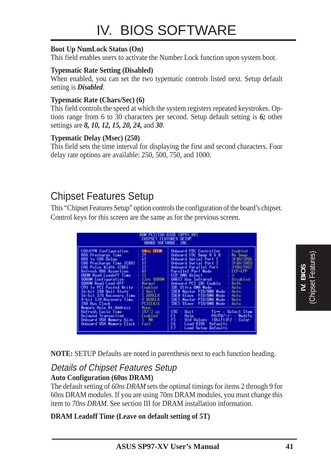# **Boot Up NumLock Status (On)**

This field enables users to activate the Number Lock function upon system boot.

#### **Typematic Rate Setting (Disabled)**

When enabled, you can set the two typematic controls listed next. Setup default setting is *Disabled*.

#### **Typematic Rate (Chars/Sec) (6)**

This field controls the speed at which the system registers repeated keystrokes. Options range from 6 to 30 characters per second. Setup default setting is *6;* other settings are *8, 10, 12, 15, 20, 24,* and *30*.

#### **Typematic Delay (Msec) (250)**

This field sets the time interval for displaying the first and second characters. Four delay rate options are available: 250, 500, 750, and 1000.

# Chipset Features Setup

This "Chipset Features Setup" option controls the configuration of the board's chipset. Control keys for this screen are the same as for the previous screen.

| HOM PCI/ISA BIOS (SP97 KV)<br>CHIPSET FEATURES SETUP<br>AWARD SOFTWARE INC.                                                                                                                                                                                                                                                                                                                                                                                                                                                                                                                                                                                                 |                                                                                                                                                          |                                                                                                                                                                                                                                                                                                                                                                                                                                                                                                                                                                                                                                                                                                 |  |  |  |
|-----------------------------------------------------------------------------------------------------------------------------------------------------------------------------------------------------------------------------------------------------------------------------------------------------------------------------------------------------------------------------------------------------------------------------------------------------------------------------------------------------------------------------------------------------------------------------------------------------------------------------------------------------------------------------|----------------------------------------------------------------------------------------------------------------------------------------------------------|-------------------------------------------------------------------------------------------------------------------------------------------------------------------------------------------------------------------------------------------------------------------------------------------------------------------------------------------------------------------------------------------------------------------------------------------------------------------------------------------------------------------------------------------------------------------------------------------------------------------------------------------------------------------------------------------------|--|--|--|
| <b>EDG/FPM Configuration</b><br>RAS Precharge Time<br><b>RAS to CAS Delay</b><br>CRS Precharge Time (EDO)<br>CRS Pulse Width (EDD)<br><b>Refresh RAS Assertion</b><br>DROM Road Leadoff Time<br>SORGH Configuration<br>SDROM Read Lead-Uff<br>CPU to PCI Posted Write<br>16-bit ISB Mait State<br>16-hit I/O Recovery Time<br>8-bit I/O Recovery lime<br><b>ISA Bus Clock Commercial Commercial Commercial Commercial Commercial Commercial Commercial Commercial Commercial Commercial Commercial Commercial Commercial Commercial Commercial Commercial Commercial Commercial Commercia</b><br>Memory Hole Rt Address<br>Refresh Cucle Time<br><b>Delayed Iransaction</b> | <b>Glins</b> , DRIM<br>21<br>혉<br>12ns 5000M<br>Normal.<br>Enabled<br>$1$ Wait<br>5 BEELK<br><b>B HISCLK</b><br>PEILLKAL<br>Home.<br>187.2 in<br>Enabled | <b>Schoard FDC Controller</b><br>Enabled<br><b>Onboard FDC Swap R B B</b><br>No Seno<br><b>JFBE/TRO4</b><br>Goboard Serial Port 1<br>Onboard Serial Part 2<br>2FBH/TRU3<br><b><i>STOLL LIKET</i></b><br><b>Onboard Parallel Port</b><br>Parallel Port Mode<br>ECP+EPP<br>ECP DNA Select<br>UART2 Use Infrared<br><b>Bisabled</b><br><b>Orboard PCI IDE Enable</b><br>Hoth.<br><b>IDE Ultra DNR Node</b><br><b>Risto</b><br><b>IDEO Master PIO/DMR Mode</b><br>Huto.<br><b>IDEO Slave PIO/DNR Mode</b><br><b>Ruto</b><br><b>TDE1 Master PIO/OMR Mode</b><br><b>Huto</b><br><b>IDE1 Slove PIO/OMR Mode</b><br><b>Flasher</b><br>ESC<br>$0$ uit<br>Time : Soloct Itom<br>PU/PD/+/- Modify<br>Help. |  |  |  |
| <b>Orboard VGB Mexary Size</b><br><b>Onboard VGR Memory Clock</b>                                                                                                                                                                                                                                                                                                                                                                                                                                                                                                                                                                                                           | 1 HB<br>Fast                                                                                                                                             | 日報<br>$\{Shift\}$<br><b>Old Values</b><br>Color<br>Loud BIOS<br>Defaults<br>F7<br>Lond Setup Dafnults                                                                                                                                                                                                                                                                                                                                                                                                                                                                                                                                                                                           |  |  |  |

**NOTE:** SETUP Defaults are noted in parenthesis next to each function heading.

# Details of Chipset Features Setup **Auto Configuration (60ns DRAM)**

The default setting of *60ns DRAM* sets the optimal timings for items 2 through 9 for 60ns DRAM modules. If you are using 70ns DRAM modules, you must change this item to *70ns DRAM*. See section III for DRAM installation information.

**DRAM Leadoff Time (Leave on default setting of 5T)**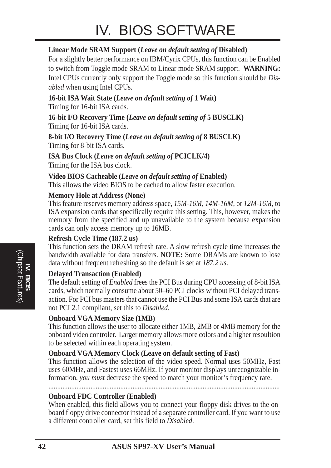# **Linear Mode SRAM Support (***Leave on default setting of* **Disabled)**

For a slightly better performance on IBM/Cyrix CPUs, this function can be Enabled to switch from Toggle mode SRAM to Linear mode SRAM support. **WARNING:** Intel CPUs currently only support the Toggle mode so this function should be *Disabled* when using Intel CPUs.

**16-bit ISA Wait State (***Leave on default setting of* **1 Wait)** Timing for 16-bit ISA cards.

**16-bit I/O Recovery Time (***Leave on default setting of* **5 BUSCLK)** Timing for 16-bit ISA cards.

**8-bit I/O Recovery Time (***Leave on default setting of* **8 BUSCLK)** Timing for 8-bit ISA cards.

**ISA Bus Clock (***Leave on default setting of* **PCICLK/4)** Timing for the ISA bus clock.

**Video BIOS Cacheable (***Leave on default setting of* **Enabled)** This allows the video BIOS to be cached to allow faster execution.

# **Memory Hole at Address (None)**

This feature reserves memory address space, *15M-16M*, *14M-16M*, or *12M-16M*, to ISA expansion cards that specifically require this setting. This, however, makes the memory from the specified and up unavailable to the system because expansion cards can only access memory up to 16MB.

# **Refresh Cycle Time (187.2 us)**

This function sets the DRAM refresh rate. A slow refresh cycle time increases the bandwidth available for data transfers. **NOTE:** Some DRAMs are known to lose data without frequent refreshing so the default is set at *187.2 us*.

# **Delayed Transaction (Enabled)**

The default setting of *Enabled* frees the PCI Bus during CPU accessing of 8-bit ISA cards, which normally consume about 50–60 PCI clocks without PCI delayed transaction. For PCI bus masters that cannot use the PCI Bus and some ISA cards that are not PCI 2.1 compliant, set this to *Disabled*.

# **Onboard VGA Memory Size (1MB)**

This function allows the user to allocate either 1MB, 2MB or 4MB memory for the onboard video controler. Larger memory allows more colors and a higher resoultion to be selected within each operating system.

# **Onboard VGA Memory Clock (Leave on default setting of Fast)**

This function allows the selection of the video speed. Normal uses 50MHz, Fast uses 60MHz, and Fastest uses 66MHz. If your monitor displays unrecognizable information, *you must* decrease the speed to match your monitor's frequency rate.

....................................................................................................................................

# **Onboard FDC Controller (Enabled)**

When enabled, this field allows you to connect your floppy disk drives to the onboard floppy drive connector instead of a separate controller card. If you want to use a different controller card, set this field to *Disabled*.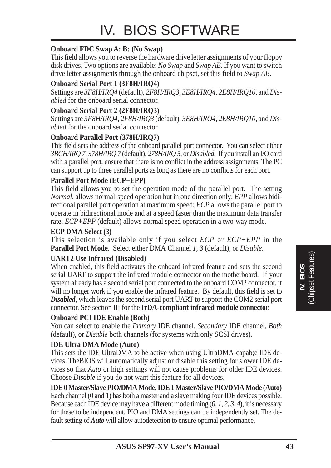# **Onboard FDC Swap A: B: (No Swap)**

This field allows you to reverse the hardware drive letter assignments of your floppy disk drives. Two options are available: *No Swap* and *Swap AB*. If you want to switch drive letter assignments through the onboard chipset, set this field to *Swap AB*.

# **Onboard Serial Port 1 (3F8H/IRQ4)**

Settings are *3F8H/IRQ4* (default), *2F8H/IRQ3, 3E8H/IRQ4, 2E8H/IRQ10,* and *Disabled* for the onboard serial connector.

#### **Onboard Serial Port 2 (2F8H/IRQ3)**

Settings are *3F8H/IRQ4, 2F8H/IRQ3* (default), *3E8H/IRQ4, 2E8H/IRQ10,* and *Disabled* for the onboard serial connector.

#### **Onboard Parallel Port (378H/IRQ7)**

This field sets the address of the onboard parallel port connector. You can select either *3BCH/IRQ 7, 378H/IRQ 7* (default)*, 278H/IRQ 5*, or *Disabled.* If you install an I/O card with a parallel port, ensure that there is no conflict in the address assignments. The PC can support up to three parallel ports as long as there are no conflicts for each port.

# **Parallel Port Mode (ECP+EPP)**

This field allows you to set the operation mode of the parallel port. The setting *Normal*, allows normal-speed operation but in one direction only; *EPP* allows bidirectional parallel port operation at maximum speed; *ECP* allows the parallel port to operate in bidirectional mode and at a speed faster than the maximum data transfer rate; *ECP+EPP* (default) allows normal speed operation in a two-way mode.

### **ECP DMA Select (3)**

This selection is available only if you select *ECP* or *ECP+EPP* in the **Parallel Port Mode**. Select either DMA Channel *1, 3* (default), or *Disable*.

# **UART2 Use Infrared (Disabled)**

When enabled, this field activates the onboard infrared feature and sets the second serial UART to support the infrared module connector on the motherboard. If your system already has a second serial port connected to the onboard COM2 connector, it will no longer work if you enable the infrared feature. By default, this field is set to *Disabled*, which leaves the second serial port UART to support the COM2 serial port connector. See section III for the **IrDA-compliant infrared module connector.**

#### **Onboard PCI IDE Enable (Both)**

You can select to enable the *Primary* IDE channel, *Secondary* IDE channel, *Both* (default), or *Disable* both channels (for systems with only SCSI drives).

# **IDE Ultra DMA Mode (Auto)**

This sets the IDE UltraDMA to be active when using UltraDMA-capab;e IDE devices. TheBIOS will automatically adjust or disable this setting for slower IDE devices so that *Auto* or high settings will not cause problems for older IDE devices. Choose *Disable* if you do not want this feature for all devices.

# **IDE 0 Master/Slave PIO/DMA Mode, IDE 1 Master/Slave PIO/DMA Mode (Auto)**

Each channel (0 and 1) has both a master and a slave making four IDE devices possible. Because each IDE device may have a different mode timing (*0, 1, 2, 3, 4*), it is necessary for these to be independent. PIO and DMA settings can be independently set. The default setting of *Auto* will allow autodetection to ensure optimal performance.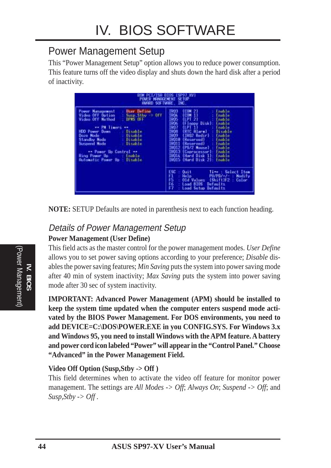# Power Management Setup

This "Power Management Setup" option allows you to reduce power consumption. This feature turns off the video display and shuts down the hard disk after a period of inactivity.

| (SP97 KV)<br>POWER MANAGEMENT SETUP<br>AIARD SOFTWARE, INC.                                                                                                                                                                                                                                                                                                         |                                                                                                                                                                                                                                                                                                                                                                                                                                                                                                                                                                                                           |  |  |  |  |  |
|---------------------------------------------------------------------------------------------------------------------------------------------------------------------------------------------------------------------------------------------------------------------------------------------------------------------------------------------------------------------|-----------------------------------------------------------------------------------------------------------------------------------------------------------------------------------------------------------------------------------------------------------------------------------------------------------------------------------------------------------------------------------------------------------------------------------------------------------------------------------------------------------------------------------------------------------------------------------------------------------|--|--|--|--|--|
| <b>Power Management</b><br>User Define<br>Susp. Sthy<br>Video Off Dation<br><b>DFF</b><br>Video Off Mathod<br><b>IFMS OFF</b><br>** PM Timers **<br>HDD Power Down<br>the <b>Thisable</b><br>Doze Mode : lisable<br>: Disable<br>Standby Node<br>Disable<br>Suspend Node<br>** Power Up Control **<br>Ring Power Up : [nable<br><b>Butomatic Power Up : Disable</b> | 1903<br>(CUN.<br>-21<br>Enable<br><b>IROA</b><br><b>IROS</b><br>IROS<br>IROZ<br>떖<br>Enable<br>Enable<br>(Floppy Disk):<br>Enable<br>(LPT 1)<br>Enable<br>1808<br>(RTC Alarm) :<br>Disable<br>(IRO2 Redir)<br>Enable<br>18010<br>(Reserved) :<br>Enable<br>IR011<br><b>Enable</b><br>(Neserved) :<br><b>IRO12</b><br>IRO13<br>$(PS/2$ Mousel :<br>Enable<br>Enable<br>(Coprocessor):<br>19014<br>(Hard Disk 1):<br>Enable<br>IR015 (Hard Disk 21:<br>Enaltle<br>ESC<br>$0$ uit<br>Time : Soloct Itom<br>Fl<br>Help a<br>PU/PD/+/- Modify<br>琵<br>Old Values (Shift)F2 :<br>Color<br>Loud BIOS<br>Defaults |  |  |  |  |  |

**NOTE:** SETUP Defaults are noted in parenthesis next to each function heading.

# Details of Power Management Setup **Power Management (User Define)**

This field acts as the master control for the power management modes. *User Define* allows you to set power saving options according to your preference; *Disable* disables the power saving features; *Min Saving* puts the system into power saving mode after 40 min of system inactivity; *Max Saving* puts the system into power saving mode after 30 sec of system inactivity.

**IMPORTANT: Advanced Power Management (APM) should be installed to keep the system time updated when the computer enters suspend mode activated by the BIOS Power Management. For DOS environments, you need to add DEVICE=C:\DOS\POWER.EXE in you CONFIG.SYS. For Windows 3.x and Windows 95, you need to install Windows with the APM feature. A battery and power cord icon labeled "Power" will appear in the "Control Panel." Choose "Advanced" in the Power Management Field.**

# **Video Off Option (Susp,Stby -> Off )**

This field determines when to activate the video off feature for monitor power management. The settings are *All Modes -> Off*; *Always On*; *Suspend -> Off*; and *Susp,Stby -> Off .*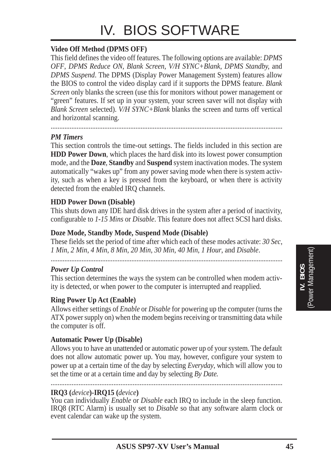# **Video Off Method (DPMS OFF)**

This field defines the video off features. The following options are available: *DPMS OFF*, *DPMS Reduce ON*, *Blank Screen*, *V/H SYNC+Blank, DPMS Standby,* and *DPMS Suspend*. The DPMS (Display Power Management System) features allow the BIOS to control the video display card if it supports the DPMS feature. *Blank Screen* only blanks the screen (use this for monitors without power management or "green" features. If set up in your system, your screen saver will not display with *Blank Screen* selected). *V/H SYNC+Blank* blanks the screen and turns off vertical and horizontal scanning.

# *PM Timers*

This section controls the time-out settings. The fields included in this section are **HDD Power Down**, which places the hard disk into its lowest power consumption mode, and the **Doze**, **Standby** and **Suspend** system inactivation modes. The system automatically "wakes up" from any power saving mode when there is system activity, such as when a key is pressed from the keyboard, or when there is activity detected from the enabled IRQ channels.

......................................................................................................................................

# **HDD Power Down (Disable)**

This shuts down any IDE hard disk drives in the system after a period of inactivity, configurable to *1-15 Mins* or *Disable*. This feature does not affect SCSI hard disks.

# **Doze Mode, Standby Mode, Suspend Mode (Disable)**

These fields set the period of time after which each of these modes activate: *30 Sec*, *1 Min*, *2 Min*, *4 Min*, *8 Min*, *20 Min*, *30 Min*, *40 Min*, *1 Hour*, and *Disable*.

.......................................................................................................................................

# *Power Up Control*

This section determines the ways the system can be controlled when modem activity is detected, or when power to the computer is interrupted and reapplied.

# **Ring Power Up Act (Enable)**

Allows either settings of *Enable* or *Disable* for powering up the computer (turns the ATX power supply on) when the modem begins receiving or transmitting data while the computer is off.

# **Automatic Power Up (Disable)**

Allows you to have an unattended or automatic power up of your system. The default does not allow automatic power up. You may, however, configure your system to power up at a certain time of the day by selecting *Everyday*, which will allow you to set the time or at a certain time and day by selecting *By Date.*

.....................................................................................................................................

# **IRQ3 (***device***)-IRQ15 (***device***)**

You can individually *Enable* or *Disable* each IRQ to include in the sleep function. IRQ8 (RTC Alarm) is usually set to *Disable* so that any software alarm clock or event calendar can wake up the system.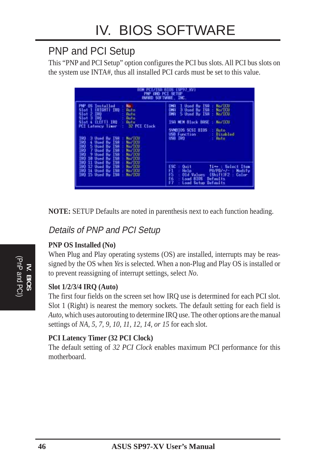# PNP and PCI Setup

This "PNP and PCI Setup" option configures the PCI bus slots. All PCI bus slots on the system use INTA#, thus all installed PCI cards must be set to this value.

| HUM PCL/15A B10S (5297 KV)<br>PNP AND PCI SETUP<br>AWARD SOFTWARE, INC.                                                                                                                                                                                                                                                                                                                                                                                                                                                                                                                                     |                                                                                                                                                                                                                                                           |  |  |  |  |
|-------------------------------------------------------------------------------------------------------------------------------------------------------------------------------------------------------------------------------------------------------------------------------------------------------------------------------------------------------------------------------------------------------------------------------------------------------------------------------------------------------------------------------------------------------------------------------------------------------------|-----------------------------------------------------------------------------------------------------------------------------------------------------------------------------------------------------------------------------------------------------------|--|--|--|--|
| FNP OS<br>Installed<br>Nu.<br>(RIGHTI IAD<br>Slot<br>◆<br><b>Huto</b><br>2 IRO<br>Slot<br><b>Hutu</b><br>Slot 3 190<br><b>Huto</b><br>Slot<br>A (LEFT) IRO<br>Buta<br>32 PCI Clock<br>PCI Latency Timer<br>190<br>No/TED<br>3 Used By ISR<br>還要要因<br>No/ICU<br>4 Used By ISB<br><b>ISR</b><br>5 Used Bu<br>No/TCU<br>7 Used By<br><b>TSB</b><br>No/TCU<br><b>TSA</b><br>No/TCU<br>9 Ilsed By<br>188<br>10 Used By<br>No./ICD<br><b>ISH</b><br>ĪRÓ<br>11 Used Bu<br>No/ICU<br>IRÓ.<br><b>TSR</b><br>12 Used By<br>No/ICU<br>IRO 14 Used By<br><b>IS0</b><br>No/TCU<br>No/TCU<br>IRO 15 Used By<br><b>TSH</b> | 1 Used By ISB<br><b>No/TED</b><br>DMA<br>No/TED<br>DMR<br>3 Used By ISB<br>DINA<br>No/IEU<br>5 Used By ISR<br>No/TCU<br><b>ISO MEN Bluck BRSE</b><br>SWIBIOS SCSI BIOS<br><b>Ruto</b><br>USB Function<br><b>Bisabted</b><br><b>USB 180</b><br><b>Huta</b> |  |  |  |  |
|                                                                                                                                                                                                                                                                                                                                                                                                                                                                                                                                                                                                             | ESC<br>0 <sub>u11</sub><br>Time : Soloct Itom<br>Fl<br>Halp<br>PU/PD/+/- 1<br>Modify<br>F5<br>[Shift]F2<br><b>Old Values</b><br>Color<br>F6<br>Loud BIOS<br>Defaults.<br>67<br>Lond Setup Dafaults                                                        |  |  |  |  |

**NOTE:** SETUP Defaults are noted in parenthesis next to each function heading.

# Details of PNP and PCI Setup

# **PNP OS Installed (No)**

When Plug and Play operating systems (OS) are installed, interrupts may be reassigned by the OS when *Yes* is selected. When a non-Plug and Play OS is installed or to prevent reassigning of interrupt settings, select *No*.

# **Slot 1/2/3/4 IRQ (Auto)**

The first four fields on the screen set how IRQ use is determined for each PCI slot. Slot 1 (Right) is nearest the memory sockets. The default setting for each field is *Auto*, which uses autorouting to determine IRQ use. The other options are the manual settings of *NA, 5, 7, 9, 10, 11, 12, 14, or 15* for each slot.

# **PCI Latency Timer (32 PCI Clock)**

The default setting of *32 PCI Clock* enables maximum PCI performance for this motherboard.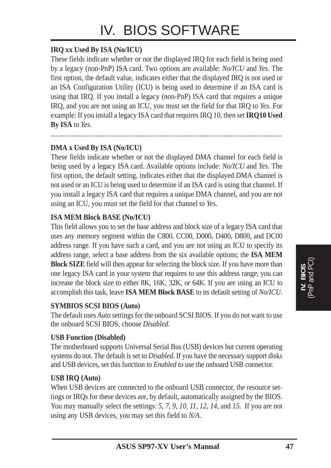# **IRQ xx Used By ISA (No/ICU)**

These fields indicate whether or not the displayed IRQ for each field is being used by a legacy (non-PnP) ISA card. Two options are available: *No/ICU* and *Yes*. The first option, the default value, indicates either that the displayed IRQ is not used or an ISA Configuration Utility (ICU) is being used to determine if an ISA card is using that IRQ. If you install a legacy (non-PnP) ISA card that requires a unique IRQ, and you are not using an ICU, you must set the field for that IRQ to *Yes*. For example: If you install a legacy ISA card that requires IRQ 10, then set **IRQ10 Used By ISA** to *Yes*.

......................................................................................................................................

# **DMA x Used By ISA (No/ICU)**

These fields indicate whether or not the displayed DMA channel for each field is being used by a legacy ISA card. Available options include: *No/ICU* and *Yes*. The first option, the default setting, indicates either that the displayed DMA channel is not used or an ICU is being used to determine if an ISA card is using that channel. If you install a legacy ISA card that requires a unique DMA channel, and you are not using an ICU, you must set the field for that channel to *Yes*.

# **ISA MEM Block BASE (No/ICU)**

This field allows you to set the base address and block size of a legacy ISA card that uses any memory segment within the C800, CC00, D000, D400, D800, and DC00 address range. If you have such a card, and you are not using an ICU to specify its address range, select a base address from the six available options; the **ISA MEM Block SIZE** field will then appear for selecting the block size. If you have more than one legacy ISA card in your system that requires to use this address range, you can increase the block size to either 8K, 16K, 32K, or 64K. If you are using an ICU to accomplish this task, leave **ISA MEM Block BASE** to its default setting of *No/ICU*.

# **SYMBIOS SCSI BIOS (Auto)**

The default uses *Auto* settings for the onboard SCSI BIOS. If you do not want to use the onboard SCSI BIOS, choose *Disabled.*

# **USB Function (Disabled)**

The motherboard supports Universal Serial Bus (USB) devices but current operating systems do not. The default is set to *Disabled*. If you have the necessary support disks and USB devices, set this function to *Enabled* to use the onboard USB connector.

# **USB IRQ (Auto)**

When USB devices are connected to the onboard USB connector, the resource settings or IRQs for these devices are, by default, automatically assigned by the BIOS. You may manually select the settings: *5*, *7*, *9*, *10*, *11*, *12*, *14*, and *15.* If you are not using any USB devices, you may set this field to *N/A*.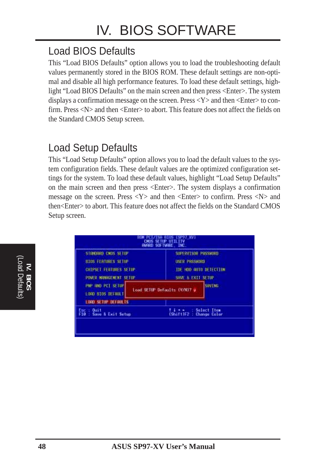# Load BIOS Defaults

This "Load BIOS Defaults" option allows you to load the troubleshooting default values permanently stored in the BIOS ROM. These default settings are non-optimal and disable all high performance features. To load these default settings, highlight "Load BIOS Defaults" on the main screen and then press <Enter>. The system displays a confirmation message on the screen. Press  $\langle Y \rangle$  and then  $\langle$ Enter $\rangle$  to confirm. Press <N> and then <Enter> to abort. This feature does not affect the fields on the Standard CMOS Setup screen.

# Load Setup Defaults

This "Load Setup Defaults" option allows you to load the default values to the system configuration fields. These default values are the optimized configuration settings for the system. To load these default values, highlight "Load Setup Defaults" on the main screen and then press <Enter>. The system displays a confirmation message on the screen. Press  $\langle Y \rangle$  and then  $\langle$ Enter $\rangle$  to confirm. Press  $\langle N \rangle$  and then<Enter> to abort. This feature does not affect the fields on the Standard CMOS Setup screen.

| STANDARD CHOS SETUP                                                                       | SUPERVISOR PRSSNORD                    |  |  |  |  |
|-------------------------------------------------------------------------------------------|----------------------------------------|--|--|--|--|
| <b>810S FEATURES SETUP</b>                                                                | <b>USER PRSSHORD</b>                   |  |  |  |  |
| GHTPSET FEATURES SETUP                                                                    | THE HOD GUTD DETECTION                 |  |  |  |  |
| POWER MANAGEMENT SETUP                                                                    | SAVE & EXIT SETUP                      |  |  |  |  |
| PHP THO PCT SETUP<br>LORD 810S DEFINILT                                                   | SAVING<br>Load SETUP Defaults (V/N17 o |  |  |  |  |
| <b>LOAD SETUP DEFAILTS</b>                                                                |                                        |  |  |  |  |
| <b>Select Item</b><br>Ouit<br>Esc.<br>(Shift)F2 : Change Color<br>F10 : Save & Exit Setup |                                        |  |  |  |  |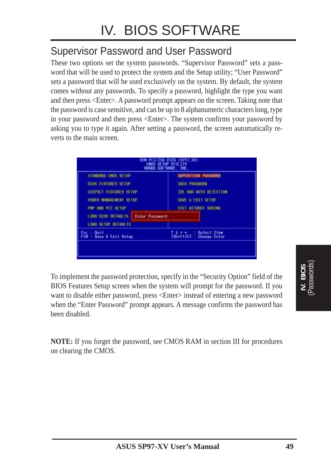# Supervisor Password and User Password

These two options set the system passwords. "Supervisor Password" sets a password that will be used to protect the system and the Setup utility; "User Password" sets a password that will be used exclusively on the system. By default, the system comes without any passwords. To specify a password, highlight the type you want and then press <Enter>. A password prompt appears on the screen. Taking note that the password is case sensitive, and can be up to 8 alphanumeric characters long, type in your password and then press <Enter>. The system confirms your password by asking you to type it again. After setting a password, the screen automatically reverts to the main screen.

|                                                                                                                                   | CHOS SETUP<br><b><i>PARRD SOFTWARE, INC.</i></b> | <b>{SP97 XV}</b><br><b>BLITTA</b>                                                                                        |
|-----------------------------------------------------------------------------------------------------------------------------------|--------------------------------------------------|--------------------------------------------------------------------------------------------------------------------------|
| STANDARD CHOS SETUP<br><b>810S FEATURES SETUP</b><br>CHIPSET FEATURES SETUP<br>POWER MANAGEMENT SETUP<br><b>FWP AND PCT SETUP</b> |                                                  | SUPERVISOR PASSNORD<br><b>USER PRSSHORD</b><br>THE HOD GUTD DETECTION<br>SAVE & EXIT SETUP<br><b>EXIT VITHOUT SAVING</b> |
| <b>LORD 8105 DEFAULTS</b><br>LOOD SETUP DEFAULTS                                                                                  | Enter Password:                                  |                                                                                                                          |
| <b>Ouit</b><br>Save & Exit Setup<br>F10 1                                                                                         |                                                  | + +    Select Item<br>(Shift]F2 : Change Color                                                                           |

To implement the password protection, specify in the "Security Option" field of the BIOS Features Setup screen when the system will prompt for the password. If you want to disable either password, press <Enter> instead of entering a new password when the "Enter Password" prompt appears. A message confirms the password has been disabled.

**NOTE:** If you forget the password, see CMOS RAM in section III for procedures on clearing the CMOS.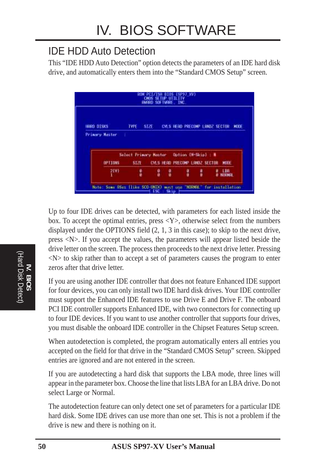# IDE HDD Auto Detection

This "IDE HDD Auto Detection" option detects the parameters of an IDE hard disk drive, and automatically enters them into the "Standard CMOS Setup" screen.



Up to four IDE drives can be detected, with parameters for each listed inside the box. To accept the optimal entries, press  $\langle Y \rangle$ , otherwise select from the numbers displayed under the OPTIONS field (2, 1, 3 in this case); to skip to the next drive, press <N>. If you accept the values, the parameters will appear listed beside the drive letter on the screen. The process then proceeds to the next drive letter. Pressing  $\langle N \rangle$  to skip rather than to accept a set of parameters causes the program to enter zeros after that drive letter.

If you are using another IDE controller that does not feature Enhanced IDE support for four devices, you can only install two IDE hard disk drives. Your IDE controller must support the Enhanced IDE features to use Drive E and Drive F. The onboard PCI IDE controller supports Enhanced IDE, with two connectors for connecting up to four IDE devices. If you want to use another controller that supports four drives, you must disable the onboard IDE controller in the Chipset Features Setup screen.

When autodetection is completed, the program automatically enters all entries you accepted on the field for that drive in the "Standard CMOS Setup" screen. Skipped entries are ignored and are not entered in the screen.

If you are autodetecting a hard disk that supports the LBA mode, three lines will appear in the parameter box. Choose the line that lists LBA for an LBA drive. Do not select Large or Normal.

The autodetection feature can only detect one set of parameters for a particular IDE hard disk. Some IDE drives can use more than one set. This is not a problem if the drive is new and there is nothing on it.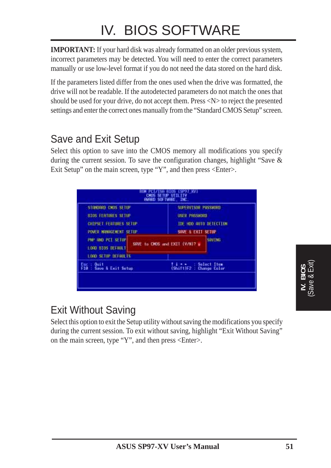# IV. BIOS SOFTWARE

**IMPORTANT:** If your hard disk was already formatted on an older previous system, incorrect parameters may be detected. You will need to enter the correct parameters manually or use low-level format if you do not need the data stored on the hard disk.

If the parameters listed differ from the ones used when the drive was formatted, the drive will not be readable. If the autodetected parameters do not match the ones that should be used for your drive, do not accept them. Press <N> to reject the presented settings and enter the correct ones manually from the "Standard CMOS Setup" screen.

# Save and Exit Setup

Select this option to save into the CMOS memory all modifications you specify during the current session. To save the configuration changes, highlight "Save & Exit Setup" on the main screen, type "Y", and then press <Enter>.

| <b>Ouit</b><br>10 : Sava & Exit Setup         | <b>Select Item</b><br>(Shift)F2 : Change Color |
|-----------------------------------------------|------------------------------------------------|
| LOOD SETUP DEFAULTS                           |                                                |
| FOR THE RET SETUP<br><b>LOAD 8105 DEFAULT</b> | SAVING<br>SRVE to CMOS and EXIT (V/N17 u       |
| POWER HANAGEHENT SETUP                        | SAVE & EXIT SETUP                              |
| CHIPSET FEATURES SETUP                        | THE HOD GUTD DETECTION                         |
| <b>810S FEATURES SETUP</b>                    | <b>USER PRSSHORD</b>                           |
| STANDARD CHOS SETUP                           | SUPERVISOR PRSSNORD                            |

# Exit Without Saving

Select this option to exit the Setup utility without saving the modifications you specify during the current session. To exit without saving, highlight "Exit Without Saving" on the main screen, type "Y", and then press <Enter>.

**IV. BIOS** (Save & Exit)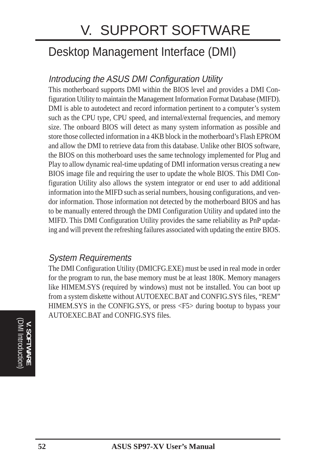# V. SUPPORT SOFTWARE

# Desktop Management Interface (DMI)

# Introducing the ASUS DMI Configuration Utility

This motherboard supports DMI within the BIOS level and provides a DMI Configuration Utility to maintain the Management Information Format Database (MIFD). DMI is able to autodetect and record information pertinent to a computer's system such as the CPU type, CPU speed, and internal/external frequencies, and memory size. The onboard BIOS will detect as many system information as possible and store those collected information in a 4KB block in the motherboard's Flash EPROM and allow the DMI to retrieve data from this database. Unlike other BIOS software, the BIOS on this motherboard uses the same technology implemented for Plug and Play to allow dynamic real-time updating of DMI information versus creating a new BIOS image file and requiring the user to update the whole BIOS. This DMI Configuration Utility also allows the system integrator or end user to add additional information into the MIFD such as serial numbers, housing configurations, and vendor information. Those information not detected by the motherboard BIOS and has to be manually entered through the DMI Configuration Utility and updated into the MIFD. This DMI Configuration Utility provides the same reliability as PnP updating and will prevent the refreshing failures associated with updating the entire BIOS.

# System Requirements

The DMI Configuration Utility (DMICFG.EXE) must be used in real mode in order for the program to run, the base memory must be at least 180K. Memory managers like HIMEM.SYS (required by windows) must not be installed. You can boot up from a system diskette without AUTOEXEC.BAT and CONFIG.SYS files, "REM" HIMEM.SYS in the CONFIG.SYS, or press <F5> during bootup to bypass your AUTOEXEC.BAT and CONFIG.SYS files.

(DMI Introductior (DMI Introduction) **V. SOFTWARE**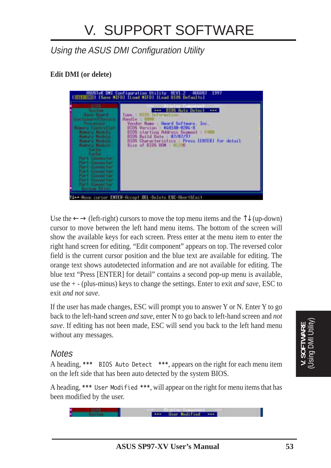# V. SUPPORT SOFTWARE

# Using the ASUS DMI Configuration Utility

# **Edit DMI (or delete)**



Use the  $\leftarrow \rightarrow$  (left-right) cursors to move the top menu items and the  $\uparrow \downarrow$  (up-down) cursor to move between the left hand menu items. The bottom of the screen will show the available keys for each screen. Press enter at the menu item to enter the right hand screen for editing. "Edit component" appears on top. The reversed color field is the current cursor position and the blue text are available for editing. The orange text shows autodetected information and are not available for editing. The blue text "Press [ENTER] for detail" contains a second pop-up menu is available, use the + - (plus-minus) keys to change the settings. Enter to exit *and save*, ESC to exit *and not save*.

If the user has made changes, ESC will prompt you to answer Y or N. Enter Y to go back to the left-hand screen *and save*, enter N to go back to left-hand screen and *not save*. If editing has not been made, ESC will send you back to the left hand menu without any messages.

# **Notes**

A heading, \*\*\* BIOS Auto Detect \*\*\*, appears on the right for each menu item on the left side that has been auto detected by the system BIOS.

A heading, \*\*\* User Modified \*\*\*, will appear on the right for menu items that has been modified by the user.

**CAR Hone Hold Cale and**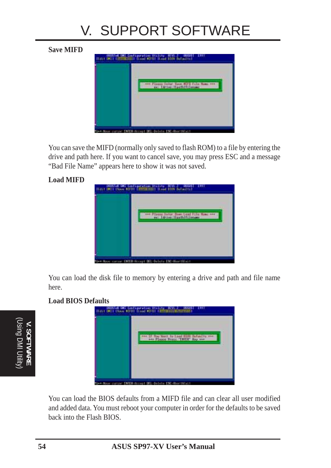# V. SUPPORT SOFTWARE

**Save MIFD**



You can save the MIFD (normally only saved to flash ROM) to a file by entering the drive and path here. If you want to cancel save, you may press ESC and a message "Bad File Name" appears here to show it was not saved.

# **Load MIFD**



You can load the disk file to memory by entering a drive and path and file name here.

# **Load BIOS Defaults**



You can load the BIOS defaults from a MIFD file and can clear all user modified and added data. You must reboot your computer in order for the defaults to be saved back into the Flash BIOS.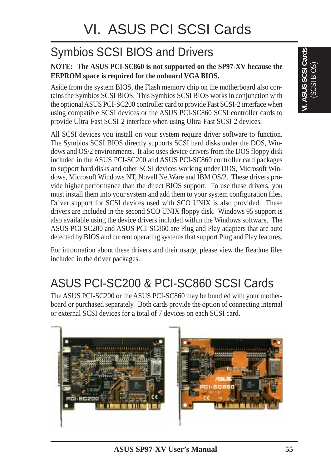# Symbios SCSI BIOS and Drivers

# **NOTE: The ASUS PCI-SC860 is not supported on the SP97-XV because the EEPROM space is required for the onboard VGA BIOS.**

Aside from the system BIOS, the Flash memory chip on the motherboard also contains the Symbios SCSI BIOS. This Symbios SCSI BIOS works in conjunction with the optional ASUS PCI-SC200 controller card to provide Fast SCSI-2 interface when using compatible SCSI devices or the ASUS PCI-SC860 SCSI controller cards to provide Ultra-Fast SCSI-2 interface when using Ultra-Fast SCSI-2 devices.

All SCSI devices you install on your system require driver software to function. The Symbios SCSI BIOS directly supports SCSI hard disks under the DOS, Windows and OS/2 environments. It also uses device drivers from the DOS floppy disk included in the ASUS PCI-SC200 and ASUS PCI-SC860 controller card packages to support hard disks and other SCSI devices working under DOS, Microsoft Windows, Microsoft Windows NT, Novell NetWare and IBM OS/2. These drivers provide higher performance than the direct BIOS support. To use these drivers, you must install them into your system and add them to your system configuration files. Driver support for SCSI devices used with SCO UNIX is also provided. These drivers are included in the second SCO UNIX floppy disk. Windows 95 support is also available using the device drivers included within the Windows software. The ASUS PCI-SC200 and ASUS PCI-SC860 are Plug and Play adapters that are auto detected by BIOS and current operating systems that support Plug and Play features.

For information about these drivers and their usage, please view the Readme files included in the driver packages.

# ASUS PCI-SC200 & PCI-SC860 SCSI Cards

The ASUS PCI-SC200 or the ASUS PCI-SC860 may be bundled with your motherboard or purchased separately. Both cards provide the option of connecting internal or external SCSI devices for a total of 7 devices on each SCSI card.

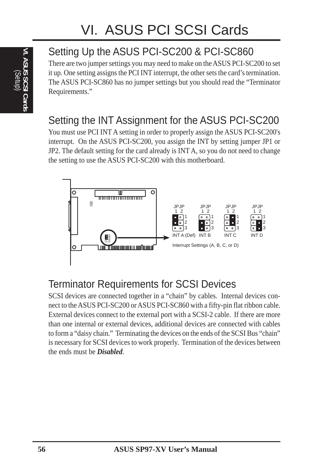# Setting Up the ASUS PCI-SC200 & PCI-SC860

There are two jumper settings you may need to make on the ASUS PCI-SC200 to set it up. One setting assigns the PCI INT interrupt, the other sets the card's termination. The ASUS PCI-SC860 has no jumper settings but you should read the "Terminator Requirements."

# Setting the INT Assignment for the ASUS PCI-SC200

You must use PCI INT A setting in order to properly assign the ASUS PCI-SC200's interrupt. On the ASUS PCI-SC200, you assign the INT by setting jumper JP1 or JP2. The default setting for the card already is INT A, so you do not need to change the setting to use the ASUS PCI-SC200 with this motherboard.



# Terminator Requirements for SCSI Devices

SCSI devices are connected together in a "chain" by cables. Internal devices connect to the ASUS PCI-SC200 or ASUS PCI-SC860 with a fifty-pin flat ribbon cable. External devices connect to the external port with a SCSI-2 cable. If there are more than one internal or external devices, additional devices are connected with cables to form a "daisy chain." Terminating the devices on the ends of the SCSI Bus "chain" is necessary for SCSI devices to work properly. Termination of the devices between the ends must be *Disabled*.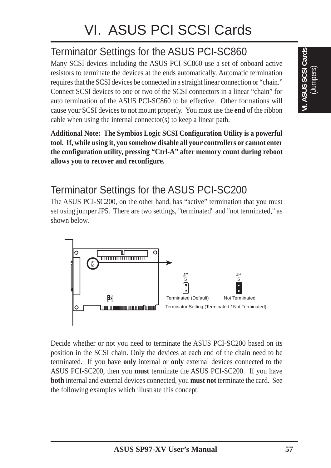# Terminator Settings for the ASUS PCI-SC860

Many SCSI devices including the ASUS PCI-SC860 use a set of onboard active resistors to terminate the devices at the ends automatically. Automatic termination requires that the SCSI devices be connected in a straight linear connection or "chain." Connect SCSI devices to one or two of the SCSI connectors in a linear "chain" for auto termination of the ASUS PCI-SC860 to be effective. Other formations will cause your SCSI devices to not mount properly. You must use the **end** of the ribbon cable when using the internal connector(s) to keep a linear path.

**Additional Note: The Symbios Logic SCSI Configuration Utility is a powerful tool. If, while using it, you somehow disable all your controllers or cannot enter the configuration utility, pressing "Ctrl-A" after memory count during reboot allows you to recover and reconfigure.**

# Terminator Settings for the ASUS PCI-SC200

The ASUS PCI-SC200, on the other hand, has "active" termination that you must set using jumper JP5. There are two settings, "terminated" and "not terminated," as shown below.



Decide whether or not you need to terminate the ASUS PCI-SC200 based on its position in the SCSI chain. Only the devices at each end of the chain need to be terminated. If you have **only** internal or **only** external devices connected to the ASUS PCI-SC200, then you **must** terminate the ASUS PCI-SC200. If you have **both** internal and external devices connected, you **must not** terminate the card. See the following examples which illustrate this concept.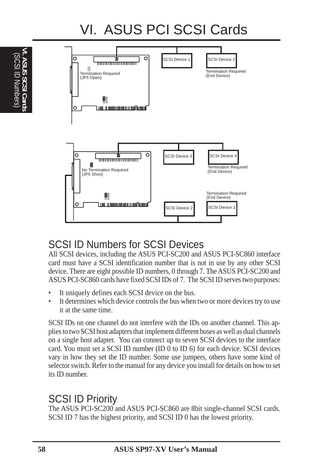# VI. ASUS PCI SCSI Cards



# SCSI ID Numbers for SCSI Devices

All SCSI devices, including the ASUS PCI-SC200 and ASUS PCI-SC860 interface card must have a SCSI identification number that is not in use by any other SCSI device. There are eight possible ID numbers, 0 through 7. The ASUS PCI-SC200 and ASUS PCI-SC860 cards have fixed SCSI IDs of 7. The SCSI ID serves two purposes:

- It uniquely defines each SCSI device on the bus.
- It determines which device controls the bus when two or more devices try to use it at the same time.

SCSI IDs on one channel do not interfere with the IDs on another channel. This applies to two SCSI host adapters that implement different buses as well as dual channels on a single host adapter. You can connect up to seven SCSI devices to the interface card. You must set a SCSI ID number (ID 0 to ID 6) for each device. SCSI devices vary in how they set the ID number. Some use jumpers, others have some kind of selector switch. Refer to the manual for any device you install for details on how to set its ID number.

# SCSI ID Priority

The ASUS PCI-SC200 and ASUS PCI-SC860 are 8bit single-channel SCSI cards. SCSI ID 7 has the highest priority, and SCSI ID 0 has the lowest priority.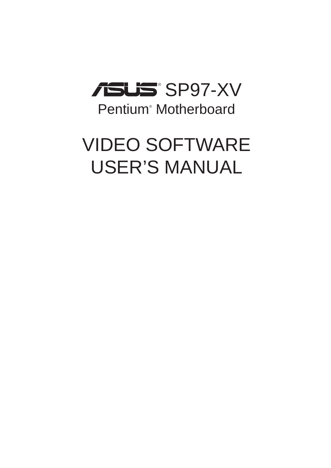

# VIDEO SOFTWARE USER'S MANUAL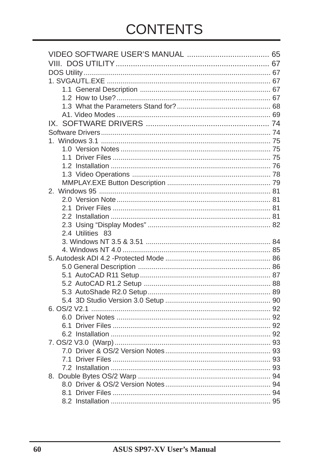| 2.4 Utilities 83 |  |
|------------------|--|
|                  |  |
|                  |  |
|                  |  |
|                  |  |
|                  |  |
|                  |  |
|                  |  |
|                  |  |
|                  |  |
|                  |  |
|                  |  |
|                  |  |
|                  |  |
|                  |  |
|                  |  |
|                  |  |
|                  |  |
|                  |  |
|                  |  |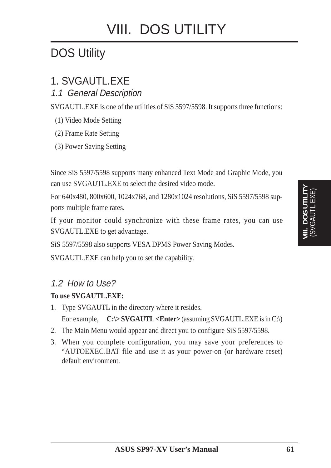(1) Video Mode Setting

1. SVGAUTL.EXE

DOS Utility

- (2) Frame Rate Setting
- (3) Power Saving Setting

Since SiS 5597/5598 supports many enhanced Text Mode and Graphic Mode, you can use SVGAUTL.EXE to select the desired video mode.

For 640x480, 800x600, 1024x768, and 1280x1024 resolutions, SiS 5597/5598 supports multiple frame rates.

If your monitor could synchronize with these frame rates, you can use SVGAUTL.EXE to get advantage.

SiS 5597/5598 also supports VESA DPMS Power Saving Modes.

SVGAUTL.EXE can help you to set the capability.

# 1.2 How to Use?

# **To use SVGAUTL.EXE:**

- 1. Type SVGAUTL in the directory where it resides. For example,  $C:\rangle$  **SVGAUTL** < **Enter**> (assuming SVGAUTL. EXE is in C:\)
- 2. The Main Menu would appear and direct you to configure SiS 5597/5598.
- 3. When you complete configuration, you may save your preferences to "AUTOEXEC.BAT file and use it as your power-on (or hardware reset) default environment.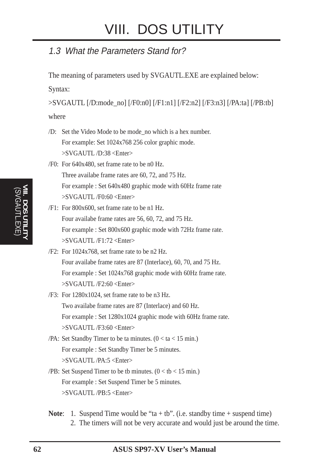# 1.3 What the Parameters Stand for?

The meaning of parameters used by SVGAUTL.EXE are explained below: Syntax:

>SVGAUTL [/D:mode\_no] [/F0:n0] [/F1:n1] [/F2:n2] [/F3:n3] [/PA:ta] [/PB:tb] where

- /D: Set the Video Mode to be mode\_no which is a hex number. For example: Set 1024x768 256 color graphic mode. >SVGAUTL /D:38 <Enter>
- /F0: For 640x480, set frame rate to be n0 Hz. Three availabe frame rates are 60, 72, and 75 Hz. For example : Set 640x480 graphic mode with 60Hz frame rate >SVGAUTL /F0:60 <Enter>
- /F1: For 800x600, set frame rate to be n1 Hz. Four availabe frame rates are 56, 60, 72, and 75 Hz. For example : Set 800x600 graphic mode with 72Hz frame rate. >SVGAUTL /F1:72 <Enter>
- /F2: For 1024x768, set frame rate to be n2 Hz. Four availabe frame rates are 87 (Interlace), 60, 70, and 75 Hz. For example : Set 1024x768 graphic mode with 60Hz frame rate.  $>$ SVGAUTL/F2:60 <Enter $>$
- /F3: For 1280x1024, set frame rate to be n3 Hz. Two availabe frame rates are 87 (Interlace) and 60 Hz. For example : Set 1280x1024 graphic mode with 60Hz frame rate.  $>$ SVGAUTL/F3:60 <Enter $>$
- /PA: Set Standby Timer to be ta minutes.  $(0 < ta < 15 min.)$ For example : Set Standby Timer be 5 minutes. >SVGAUTL /PA:5 <Enter>
- /PB: Set Suspend Timer to be the minutes.  $(0 <$  tb  $< 15$  min.) For example : Set Suspend Timer be 5 minutes. >SVGAUTL /PB:5 <Enter>
- **Note:** 1. Suspend Time would be "ta  $+$  tb". (i.e. standby time  $+$  suspend time) 2. The timers will not be very accurate and would just be around the time.

(SVGAUTL.EXE) **VIII. DOS UTILITY**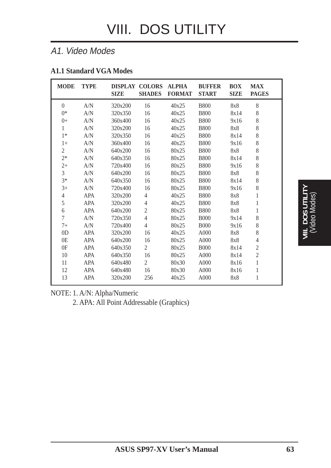# A1. Video Modes

# **A1.1 Standard VGA Modes**

| <b>MODE</b>      | <b>TYPE</b> | <b>SIZE</b> | DISPLAY COLORS ALPHA<br><b>SHADES</b> | <b>FORMAT</b> | <b>BUFFER</b><br><b>START</b> | <b>BOX</b><br><b>SIZE</b> | <b>MAX</b><br><b>PAGES</b> |
|------------------|-------------|-------------|---------------------------------------|---------------|-------------------------------|---------------------------|----------------------------|
| $\overline{0}$   | A/N         | 320x200     | 16                                    | 40x25         | <b>B800</b>                   | 8x8                       | 8                          |
| $0*$             | A/N         | 320x350     | 16                                    | 40x25         | <b>B800</b>                   | 8x14                      | 8                          |
| $0+$             | A/N         | 360x400     | 16                                    | 40x25         | <b>B800</b>                   | 9x16                      | 8                          |
| 1                | A/N         | 320x200     | 16                                    | 40x25         | <b>B800</b>                   | 8x8                       | 8                          |
| $1*$             | A/N         | 320x350     | 16                                    | 40x25         | <b>B800</b>                   | 8x14                      | 8                          |
| $1+$             | A/N         | 360x400     | 16                                    | 40x25         | <b>B800</b>                   | 9x16                      | 8                          |
| $\overline{2}$   | A/N         | 640x200     | 16                                    | 80x25         | <b>B800</b>                   | 8x8                       | 8                          |
| $2*$             | A/N         | 640x350     | 16                                    | 80x25         | <b>B800</b>                   | 8x14                      | 8                          |
| $2+$             | A/N         | 720x400     | 16                                    | 80x25         | <b>B800</b>                   | 9x16                      | 8                          |
| 3                | A/N         | 640x200     | 16                                    | 80x25         | <b>B800</b>                   | 8x8                       | 8                          |
| $3*$             | A/N         | 640x350     | 16                                    | 80x25         | <b>B800</b>                   | 8x14                      | 8                          |
| $3+$             | A/N         | 720x400     | 16                                    | 80x25         | <b>B800</b>                   | 9x16                      | 8                          |
| $\overline{4}$   | <b>APA</b>  | 320x200     | $\overline{4}$                        | 40x25         | <b>B800</b>                   | 8x8                       | 1                          |
| 5                | <b>APA</b>  | 320x200     | $\overline{4}$                        | 40x25         | <b>B800</b>                   | 8x8                       | 1                          |
| 6                | <b>APA</b>  | 640x200     | $\overline{2}$                        | 80x25         | <b>B800</b>                   | 8x8                       | 1                          |
| $\boldsymbol{7}$ | A/N         | 720x350     | $\overline{4}$                        | 80x25         | <b>B000</b>                   | 9x14                      | 8                          |
| $7+$             | A/N         | 720x400     | $\overline{4}$                        | 80x25         | <b>B000</b>                   | 9x16                      | 8                          |
| 0 <sub>D</sub>   | <b>APA</b>  | 320x200     | 16                                    | 40x25         | A000                          | 8x8                       | 8                          |
| 0E               | <b>APA</b>  | 640x200     | 16                                    | 80x25         | A000                          | 8x8                       | $\overline{4}$             |
| 0F               | <b>APA</b>  | 640x350     | $\overline{2}$                        | 80x25         | <b>B000</b>                   | 8x14                      | $\overline{2}$             |
| 10               | <b>APA</b>  | 640x350     | 16                                    | 80x25         | A000                          | 8x14                      | $\overline{2}$             |
| 11               | <b>APA</b>  | 640x480     | $\overline{2}$                        | 80x30         | A000                          | 8x16                      | 1                          |
| 12               | <b>APA</b>  | 640x480     | 16                                    | 80x30         | A000                          | 8x16                      | 1                          |
| 13               | <b>APA</b>  | 320x200     | 256                                   | 40x25         | A000                          | 8x8                       | 1                          |

NOTE: 1. A/N: Alpha/Numeric

2. APA: All Point Addressable (Graphics)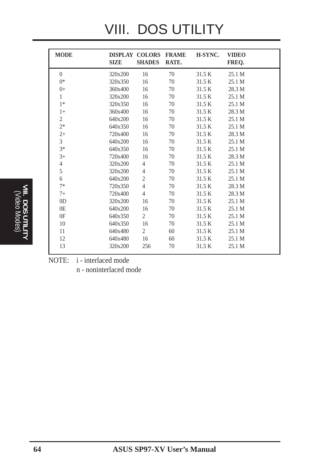| <b>MODE</b>    | <b>SIZE</b> | DISPLAY COLORS FRAME<br><b>SHADES</b> | RATE. | H-SYNC. | <b>VIDEO</b><br>FREQ. |
|----------------|-------------|---------------------------------------|-------|---------|-----------------------|
| $\overline{0}$ | 320x200     | 16                                    | 70    | 31.5 K  | 25.1 M                |
| $0*$           | 320x350     | 16                                    | 70    | 31.5 K  | 25.1 M                |
| $0+$           | 360x400     | 16                                    | 70    | 31.5 K  | 28.3 M                |
| $\mathbf{1}$   | 320x200     | 16                                    | 70    | 31.5 K  | 25.1 M                |
| $1*$           | 320x350     | 16                                    | 70    | 31.5 K  | 25.1 M                |
| $1+$           | 360x400     | 16                                    | 70    | 31.5 K  | 28.3 M                |
| $\overline{2}$ | 640x200     | 16                                    | 70    | 31.5 K  | 25.1 M                |
| $2*$           | 640x350     | 16                                    | 70    | 31.5 K  | 25.1 M                |
| $2+$           | 720x400     | 16                                    | 70    | 31.5 K  | 28.3 M                |
| 3              | 640x200     | 16                                    | 70    | 31.5 K  | 25.1 M                |
| $3*$           | 640x350     | 16                                    | 70    | 31.5 K  | 25.1 M                |
| $3+$           | 720x400     | 16                                    | 70    | 31.5 K  | 28.3 M                |
| $\overline{4}$ | 320x200     | $\overline{4}$                        | 70    | 31.5 K  | 25.1 M                |
| 5              | 320x200     | $\overline{4}$                        | 70    | 31.5 K  | 25.1 M                |
| 6              | 640x200     | $\mathbf{2}$                          | 70    | 31.5 K  | 25.1 M                |
| $7*$           | 720x350     | $\overline{4}$                        | 70    | 31.5 K  | 28.3 M                |
| $7 +$          | 720x400     | $\overline{4}$                        | 70    | 31.5 K  | 28.3 M                |
| 0D             | 320x200     | 16                                    | 70    | 31.5 K  | 25.1 M                |
| 0E             | 640x200     | 16                                    | 70    | 31.5 K  | 25.1 M                |
| 0F             | 640x350     | $\overline{2}$                        | 70    | 31.5 K  | 25.1 M                |
| 10             | 640x350     | 16                                    | 70    | 31.5 K  | 25.1 M                |
| 11             | 640x480     | $\overline{2}$                        | 60    | 31.5 K  | 25.1 M                |
| 12             | 640x480     | 16                                    | 60    | 31.5 K  | 25.1 M                |
| 13             | 320x200     | 256                                   | 70    | 31.5 K  | 25.1 M                |

NOTE: i - interlaced mode

n - noninterlaced mode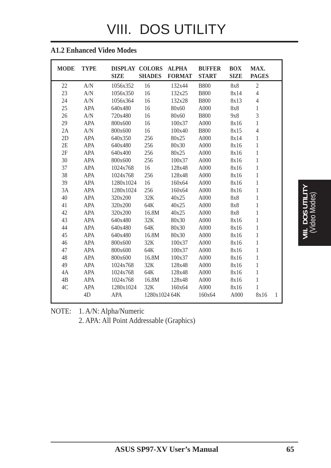| <b>MODE</b> | <b>TYPE</b> | <b>SIZE</b> | DISPLAY COLORS ALPHA<br><b>SHADES</b> | <b>FORMAT</b> | <b>BUFFER</b><br><b>START</b> | <b>BOX</b><br><b>SIZE</b> | MAX.<br><b>PAGES</b> |              |
|-------------|-------------|-------------|---------------------------------------|---------------|-------------------------------|---------------------------|----------------------|--------------|
| 22          | A/N         | 1056x352    | 16                                    | 132x44        | <b>B800</b>                   | 8x8                       | $\mathfrak{2}$       |              |
| 23          | A/N         | 1056x350    | 16                                    | 132x25        | <b>B800</b>                   | 8x14                      | $\overline{4}$       |              |
| 24          | A/N         | 1056x364    | 16                                    | 132x28        | <b>B800</b>                   | 8x13                      | $\overline{4}$       |              |
| 25          | <b>APA</b>  | 640x480     | 16                                    | 80x60         | A000                          | 8x8                       | 1                    |              |
| 26          | A/N         | 720x480     | 16                                    | 80x60         | <b>B800</b>                   | 9x8                       | 3                    |              |
| 29          | <b>APA</b>  | 800x600     | 16                                    | 100x37        | A000                          | 8x16                      | $\mathbf{1}$         |              |
| 2A          | A/N         | 800x600     | 16                                    | 100x40        | <b>B800</b>                   | 8x15                      | $\overline{4}$       |              |
| 2D          | <b>APA</b>  | 640x350     | 256                                   | 80x25         | A000                          | 8x14                      | 1                    |              |
| 2E          | <b>APA</b>  | 640x480     | 256                                   | 80x30         | A000                          | 8x16                      | $\mathbf 1$          |              |
| 2F          | <b>APA</b>  | 640x400     | 256                                   | 80x25         | A000                          | 8x16                      | $\mathbf{1}$         |              |
| 30          | <b>APA</b>  | 800x600     | 256                                   | 100x37        | A000                          | 8x16                      | $\mathbf{1}$         |              |
| 37          | <b>APA</b>  | 1024x768    | 16                                    | 128x48        | A000                          | 8x16                      | $\mathbf{1}$         |              |
| 38          | <b>APA</b>  | 1024x768    | 256                                   | 128x48        | A000                          | 8x16                      | $\mathbf{1}$         |              |
| 39          | <b>APA</b>  | 1280x1024   | 16                                    | 160x64        | A000                          | 8x16                      | 1                    |              |
| 3A          | <b>APA</b>  | 1280x1024   | 256                                   | 160x64        | A000                          | 8x16                      | 1                    |              |
| 40          | <b>APA</b>  | 320x200     | 32K                                   | 40x25         | A000                          | 8x8                       | $\mathbf 1$          |              |
| 41          | <b>APA</b>  | 320x200     | 64K                                   | 40x25         | A000                          | 8x8                       | 1                    |              |
| 42          | APA         | 320x200     | 16.8M                                 | 40x25         | A000                          | 8x8                       | 1                    |              |
| 43          | APA         | 640x480     | 32K                                   | 80x30         | A000                          | 8x16                      | $\mathbf{1}$         |              |
| 44          | APA         | 640x480     | 64K                                   | 80x30         | A000                          | 8x16                      | 1                    |              |
| 45          | APA         | 640x480     | 16.8M                                 | 80x30         | A000                          | 8x16                      | 1                    |              |
| 46          | APA         | 800x600     | 32K                                   | 100x37        | A000                          | 8x16                      | 1                    |              |
| 47          | APA         | 800x600     | 64K                                   | 100x37        | A000                          | 8x16                      | 1                    |              |
| 48          | APA         | 800x600     | 16.8M                                 | 100x37        | A000                          | 8x16                      | 1                    |              |
| 49          | APA         | 1024x768    | 32K                                   | 128x48        | A000                          | 8x16                      | 1                    |              |
| 4A          | APA         | 1024x768    | 64K                                   | 128x48        | A000                          | 8x16                      | $\mathbf{1}$         |              |
| 4B          | APA         | 1024x768    | 16.8M                                 | 128x48        | A000                          | 8x16                      | 1                    |              |
| 4C          | APA         | 1280x1024   | 32K                                   | 160x64        | A000                          | 8x16                      | 1                    |              |
|             | 4D          | <b>APA</b>  | 1280x1024 64K                         |               | 160x64                        | A000                      | 8x16                 | $\mathbf{1}$ |

# **A1.2 Enhanced Video Modes**

NOTE: 1. A/N: Alpha/Numeric

2. APA: All Point Addressable (Graphics)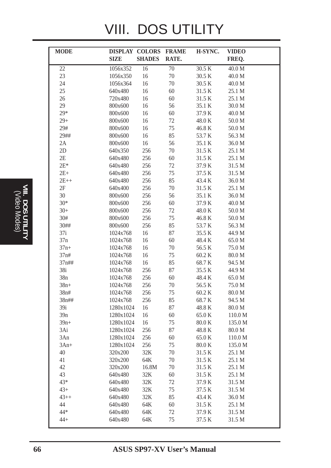| <b>MODE</b> |             | DISPLAY COLORS FRAME |       | H-SYNC. | <b>VIDEO</b> |
|-------------|-------------|----------------------|-------|---------|--------------|
|             | <b>SIZE</b> | <b>SHADES</b>        | RATE. |         | FREQ.        |
|             |             |                      |       |         |              |
| 22          | 1056x352    | 16                   | 70    | 30.5 K  | 40.0 M       |
| 23          | 1056x350    | 16                   | 70    | 30.5 K  | 40.0 M       |
| 24          | 1056x364    | 16                   | 70    | 30.5 K  | 40.0 M       |
| 25          | 640x480     | 16                   | 60    | 31.5 K  | 25.1 M       |
| 26          | 720x480     | 16                   | 60    | 31.5 K  | 25.1 M       |
| 29          | 800x600     | 16                   | 56    | 35.1 K  | 30.0 M       |
| $29*$       | 800x600     | 16                   | 60    | 37.9 K  | 40.0 M       |
| $29+$       | 800x600     | 16                   | 72    | 48.0 K  | 50.0 M       |
| 29#         | 800x600     | 16                   | 75    | 46.8 K  | 50.0 M       |
| 29##        | 800x600     | 16                   | 85    | 53.7 K  | 56.3 M       |
| 2A          | 800x600     | 16                   | 56    | 35.1 K  | 36.0 M       |
| 2D          | 640x350     | 256                  | 70    | 31.5 K  | 25.1 M       |
| 2E          | 640x480     | 256                  | 60    | 31.5 K  | 25.1 M       |
| $2E^*$      | 640x480     | 256                  | 72    | 37.9 K  | 31.5 M       |
| $2E+$       | 640x480     | 256                  | 75    | 37.5 K  | 31.5 M       |
| $2E++$      | 640x480     | 256                  | 85    | 43.4 K  | 36.0 M       |
| 2F          | 640x400     | 256                  | 70    | 31.5 K  | 25.1 M       |
| 30          | 800x600     | 256                  | 56    | 35.1 K  | 36.0 M       |
| $30*$       | 800x600     | 256                  | 60    | 37.9 K  | 40.0 M       |
| $30+$       | 800x600     | 256                  | 72    | 48.0 K  | 50.0 M       |
| 30#         | 800x600     | 256                  | 75    | 46.8 K  | 50.0 M       |
| 30##        | 800x600     | 256                  | 85    | 53.7 K  | 56.3 M       |
| 37i         | 1024x768    | 16                   | 87    | 35.5 K  | 44.9 M       |
| 37n         | 1024x768    | 16                   | 60    | 48.4 K  | 65.0 M       |
| $37n+$      | 1024x768    | 16                   | 70    | 56.5 K  | 75.0 M       |
| 37n#        | 1024x768    | 16                   | 75    | 60.2 K  | 80.0 M       |
| 37n##       | 1024x768    | 16                   | 85    | 68.7 K  | 94.5 M       |
| 38i         | 1024x768    | 256                  | 87    | 35.5 K  | 44.9 M       |
| 38n         | 1024x768    | 256                  | 60    | 48.4 K  | 65.0 M       |
| $38n+$      | 1024x768    | 256                  | 70    | 56.5 K  | 75.0 M       |
| 38n#        | 1024x768    | 256                  | 75    | 60.2 K  | 80.0 M       |
| 38n##       | 1024x768    | 256                  | 85    | 68.7 K  | 94.5 M       |
| 39i         | 1280x1024   | 16                   | 87    | 48.8 K  | 80.0 M       |
| 39n         | 1280x1024   | 16                   | 60    | 65.0 K  | 110.0 M      |
| $39n+$      | 1280x1024   | 16                   | 75    | 80.0 K  | 135.0 M      |
| 3Ai         | 1280x1024   | 256                  | 87    | 48.8 K  | 80.0 M       |
| 3An         | 1280x1024   | 256                  | 60    | 65.0 K  | 110.0 M      |
| $3An+$      | 1280x1024   | 256                  | 75    | 80.0 K  | 135.0 M      |
| 40          | 320x200     | 32K                  | 70    | 31.5 K  | 25.1 M       |
| 41          | 320x200     | 64K                  | 70    | 31.5 K  | 25.1 M       |
| 42          | 320x200     | 16.8M                | 70    | 31.5 K  | 25.1 M       |
| 43          | 640x480     | 32K                  | 60    | 31.5 K  | 25.1 M       |
| 43*         | 640x480     | 32K                  | 72    | 37.9 K  | 31.5 M       |
| $43+$       | 640x480     | 32K                  | 75    | 37.5 K  | 31.5 M       |
| $43++$      | 640x480     | 32K                  | 85    | 43.4 K  | 36.0 M       |
| 44          | 640x480     | 64K                  | 60    |         |              |
| 44*         |             |                      |       | 31.5 K  | 25.1 M       |
|             | 640x480     | 64K                  | 72    | 37.9 K  | 31.5 M       |
| $44 +$      | 640x480     | 64K                  | 75    | 37.5 K  | 31.5 M       |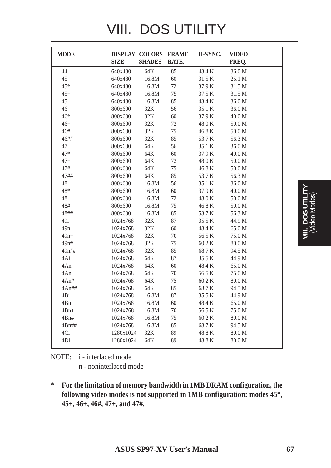| <b>MODE</b> | <b>SIZE</b> | DISPLAY COLORS FRAME<br><b>SHADES</b> | RATE. | H-SYNC. | <b>VIDEO</b><br>FREQ. |
|-------------|-------------|---------------------------------------|-------|---------|-----------------------|
| $44++$      | 640x480     | 64K                                   | 85    | 43.4 K  | 36.0 M                |
| 45          | 640x480     | 16.8M                                 | 60    | 31.5 K  | 25.1 M                |
| 45*         | 640x480     | 16.8M                                 | 72    | 37.9 K  | 31.5 M                |
| $45+$       | 640x480     | 16.8M                                 | 75    | 37.5 K  | 31.5 M                |
| $45++$      | 640x480     | 16.8M                                 | 85    | 43.4 K  | 36.0 M                |
| 46          | 800x600     | 32K                                   | 56    | 35.1 K  | 36.0 M                |
| 46*         | 800x600     | 32K                                   | 60    | 37.9 K  | 40.0 M                |
| $46+$       | 800x600     | 32K                                   | 72    | 48.0 K  | 50.0 M                |
| 46#         | 800x600     | 32K                                   | 75    | 46.8 K  | 50.0 M                |
| 46##        | 800x600     | 32K                                   | 85    | 53.7 K  | 56.3 M                |
| 47          | 800x600     | 64K                                   | 56    | 35.1 K  | 36.0 M                |
| 47*         | 800x600     | 64K                                   | 60    | 37.9 K  | 40.0 M                |
| $47+$       | 800x600     | 64K                                   | 72    | 48.0 K  | 50.0 M                |
| 47#         | 800x600     | 64K                                   | 75    | 46.8 K  | 50.0 M                |
| 47##        | 800x600     | 64K                                   | 85    | 53.7 K  | 56.3 M                |
| 48          | 800x600     | 16.8M                                 | 56    | 35.1 K  | 36.0 M                |
| 48*         | 800x600     | 16.8M                                 | 60    | 37.9 K  | 40.0 M                |
| $48+$       | 800x600     | 16.8M                                 | 72    | 48.0K   | 50.0 M                |
| 48#         | 800x600     | 16.8M                                 | 75    | 46.8 K  | 50.0 M                |
| 48##        | 800x600     | 16.8M                                 | 85    | 53.7 K  | 56.3 M                |
| 49i         | 1024x768    | 32K                                   | 87    | 35.5 K  | 44.9 M                |
| 49n         | 1024x768    | 32K                                   | 60    | 48.4 K  | 65.0 M                |
| $49n+$      | 1024x768    | 32K                                   | 70    | 56.5 K  | 75.0 M                |
| 49n#        | 1024x768    | 32K                                   | 75    | 60.2 K  | 80.0 M                |
| 49n##       | 1024x768    | 32K                                   | 85    | 68.7 K  | 94.5 M                |
| 4Ai         | 1024x768    | 64K                                   | 87    | 35.5 K  | 44.9 M                |
| 4An         | 1024x768    | 64K                                   | 60    | 48.4 K  | 65.0 M                |
| $4An+$      | 1024x768    | 64K                                   | 70    | 56.5 K  | 75.0 M                |
| 4An#        | 1024x768    | 64K                                   | 75    | 60.2 K  | 80.0 M                |
| 4An##       | 1024x768    | 64K                                   | 85    | 68.7K   | 94.5 M                |
| 4Bi         | 1024x768    | 16.8M                                 | 87    | 35.5 K  | 44.9 M                |
| 4Bn         | 1024x768    | 16.8M                                 | 60    | 48.4 K  | 65.0 M                |
| $4Bn+$      | 1024x768    | 16.8M                                 | 70    | 56.5 K  | 75.0 M                |
| 4Bn#        | 1024x768    | 16.8M                                 | 75    | 60.2 K  | 80.0 M                |
| 4Bn##       | 1024x768    | 16.8M                                 | 85    | 68.7K   | 94.5 M                |
| 4Ci         | 1280x1024   | 32K                                   | 89    | 48.8 K  | 80.0 M                |
| 4Di         | 1280x1024   | 64K                                   | 89    | 48.8 K  | 80.0 M                |

NOTE: i - interlaced mode

n - noninterlaced mode

**\* For the limitation of memory bandwidth in 1MB DRAM configuration, the following video modes is not supported in 1MB configuration: modes 45\*, 45+, 46+, 46#, 47+, and 47#.**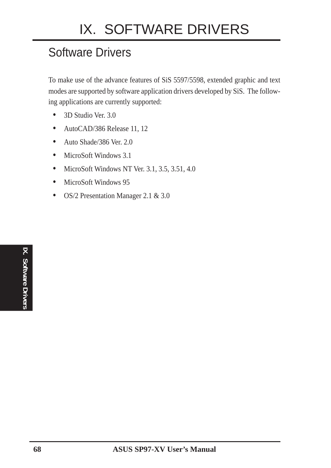# Software Drivers

To make use of the advance features of SiS 5597/5598, extended graphic and text modes are supported by software application drivers developed by SiS. The following applications are currently supported:

- **•** 3D Studio Ver. 3.0
- AutoCAD/386 Release 11, 12
- **•** Auto Shade/386 Ver. 2.0
- MicroSoft Windows 3.1
- **•** MicroSoft Windows NT Ver. 3.1, 3.5, 3.51, 4.0
- **•** MicroSoft Windows 95
- **•** OS/2 Presentation Manager 2.1 & 3.0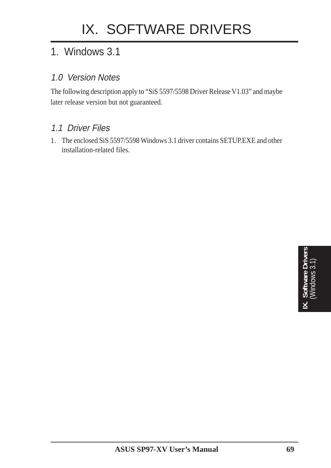# IX. SOFTWARE DRIVERS

# 1. Windows 3.1

# 1.0 Version Notes

The following description apply to "SiS 5597/5598 Driver Release V1.03" and maybe later release version but not guaranteed.

# 1.1 Driver Files

1. The enclosed SiS 5597/5598 Windows 3.1 driver contains SETUP.EXE and other installation-related files.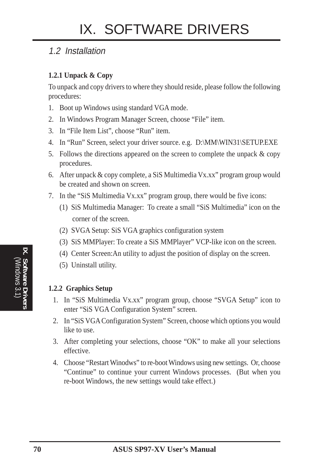# 1.2 Installation

# **1.2.1 Unpack & Copy**

To unpack and copy drivers to where they should reside, please follow the following procedures:

- 1. Boot up Windows using standard VGA mode.
- 2. In Windows Program Manager Screen, choose "File" item.
- 3. In "File Item List", choose "Run" item.
- 4. In "Run" Screen, select your driver source. e.g. D:\MM\WIN31\SETUP.EXE
- 5. Follows the directions appeared on the screen to complete the unpack & copy procedures.
- 6. After unpack & copy complete, a SiS Multimedia Vx.xx" program group would be created and shown on screen.
- 7. In the "SiS Multimedia Vx.xx" program group, there would be five icons:
	- (1) SiS Multimedia Manager: To create a small "SiS Multimedia" icon on the corner of the screen.
	- (2) SVGA Setup: SiS VGA graphics configuration system
	- (3) SiS MMPlayer: To create a SiS MMPlayer" VCP-like icon on the screen.
	- (4) Center Screen:An utility to adjust the position of display on the screen.
	- (5) Uninstall utility.

# **1.2.2 Graphics Setup**

- 1. In "SiS Multimedia Vx.xx" program group, choose "SVGA Setup" icon to enter "SiS VGA Configuration System" screen.
- 2. In "SiS VGA Configuration System" Screen, choose which options you would like to use.
- 3. After completing your selections, choose "OK" to make all your selections effective.
- 4. Choose "Restart Winodws" to re-boot Windows using new settings. Or, choose "Continue" to continue your current Windows processes. (But when you re-boot Windows, the new settings would take effect.)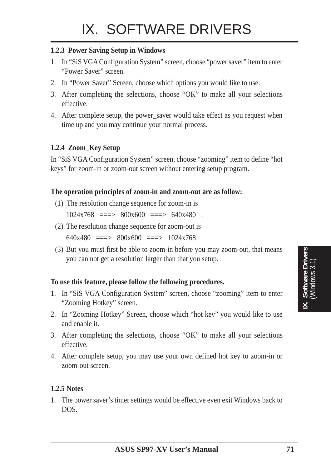# **1.2.3 Power Saving Setup in Windows**

- 1. In "SiS VGA Configuration System" screen, choose "power saver" item to enter "Power Saver" screen.
- 2. In "Power Saver" Screen, choose which options you would like to use.
- 3. After completing the selections, choose "OK" to make all your selections effective.
- 4. After complete setup, the power\_saver would take effect as you request when time up and you may continue your normal process.

# **1.2.4 Zoom\_Key Setup**

In "SiS VGA Configuration System" screen, choose "zooming" item to define "hot keys" for zoom-in or zoom-out screen without entering setup program.

#### **The operation principles of zoom-in and zoom-out are as follow:**

(1) The resolution change sequence for zoom-in is

 $1024x768$  ===>  $800x600$  ===>  $640x480$ .

- (2) The resolution change sequence for zoom-out is 640x480  $\equiv \equiv \gg 800x600 \equiv \equiv \gg 1024x768$ .
- (3) But you must first be able to zoom-in before you may zoom-out, that means you can not get a resolution larger than that you setup.

#### **To use this feature, please follow the following procedures.**

- 1. In "SiS VGA Configuration System" screen, choose "zooming" item to enter "Zooming Hotkey" screen.
- 2. In "Zooming Hotkey" Screen, choose which "hot key" you would like to use and enable it.
- 3. After completing the selections, choose "OK" to make all your selections effective.
- 4. After complete setup, you may use your own defined hot key to zoom-in or zoom-out screen.

# **1.2.5 Notes**

1. The power saver's timer settings would be effective even exit Windows back to DOS.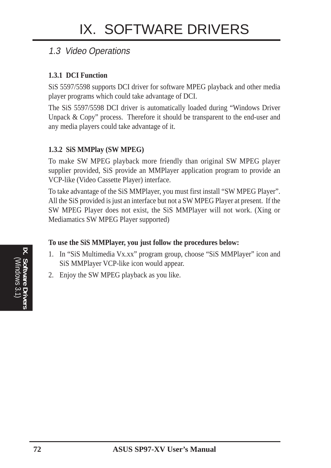# 1.3 Video Operations

# **1.3.1 DCI Function**

SiS 5597/5598 supports DCI driver for software MPEG playback and other media player programs which could take advantage of DCI.

The SiS 5597/5598 DCI driver is automatically loaded during "Windows Driver Unpack & Copy" process. Therefore it should be transparent to the end-user and any media players could take advantage of it.

# **1.3.2 SiS MMPlay (SW MPEG)**

To make SW MPEG playback more friendly than original SW MPEG player supplier provided, SiS provide an MMPlayer application program to provide an VCP-like (Video Cassette Player) interface.

To take advantage of the SiS MMPlayer, you must first install "SW MPEG Player". All the SiS provided is just an interface but not a SW MPEG Player at present. If the SW MPEG Player does not exist, the SiS MMPlayer will not work. (Xing or Mediamatics SW MPEG Player supported)

# **To use the SiS MMPlayer, you just follow the procedures below:**

- 1. In "SiS Multimedia Vx.xx" program group, choose "SiS MMPlayer" icon and SiS MMPlayer VCP-like icon would appear.
- 2. Enjoy the SW MPEG playback as you like.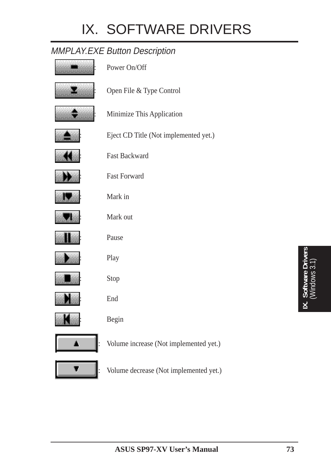| <b>MMPLAY.EXE Button Description</b>   |
|----------------------------------------|
| Power On/Off                           |
| Open File & Type Control               |
| Minimize This Application              |
| Eject CD Title (Not implemented yet.)  |
| <b>Fast Backward</b>                   |
| <b>Fast Forward</b>                    |
| Mark in                                |
| Mark out                               |
| Pause                                  |
| Play                                   |
| Stop                                   |
| End                                    |
| Begin                                  |
| Volume increase (Not implemented yet.) |
| Volume decrease (Not implemented yet.) |

IX. Software Drivers **IX. Software Drivers** (Windows 3.1)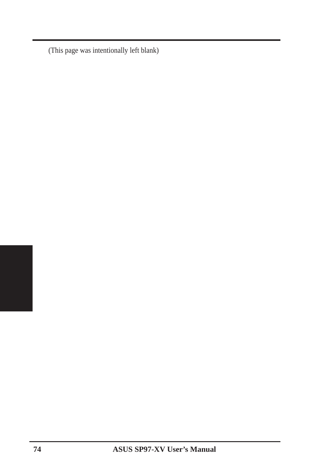(This page was intentionally left blank)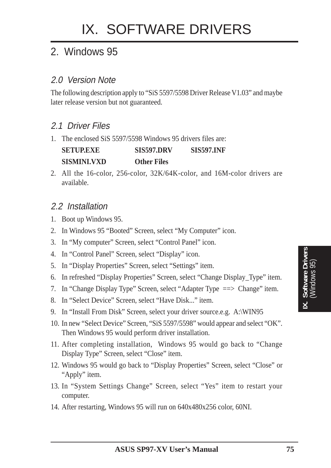# 2. Windows 95

## 2.0 Version Note

The following description apply to "SiS 5597/5598 Driver Release V1.03" and maybe later release version but not guaranteed.

### 2.1 Driver Files

1. The enclosed SiS 5597/5598 Windows 95 drivers files are:

| <b>SETUP.EXE</b> | SIS597.DRV         | <b>SIS597.INF</b> |
|------------------|--------------------|-------------------|
| SISMINI.VXD      | <b>Other Files</b> |                   |

2. All the 16-color, 256-color, 32K/64K-color, and 16M-color drivers are available.

## 2.2 Installation

- 1. Boot up Windows 95.
- 2. In Windows 95 "Booted" Screen, select "My Computer" icon.
- 3. In "My computer" Screen, select "Control Panel" icon.
- 4. In "Control Panel" Screen, select "Display" icon.
- 5. In "Display Properties" Screen, select "Settings" item.
- 6. In refreshed "Display Properties" Screen, select "Change Display\_Type" item.
- 7. In "Change Display Type" Screen, select "Adapter Type ==> Change" item.
- 8. In "Select Device" Screen, select "Have Disk..." item.
- 9. In "Install From Disk" Screen, select your driver source.e.g. A:\WIN95
- 10. In new "Select Device" Screen, "SiS 5597/5598" would appear and select "OK". Then Windows 95 would perform driver installation.
- 11. After completing installation, Windows 95 would go back to "Change Display Type" Screen, select "Close" item.
- 12. Windows 95 would go back to "Display Properties" Screen, select "Close" or "Apply" item.
- 13. In "System Settings Change" Screen, select "Yes" item to restart your computer.
- 14. After restarting, Windows 95 will run on 640x480x256 color, 60NI.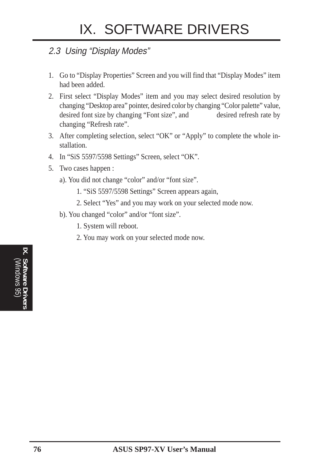# 2.3 Using "Display Modes"

- 1. Go to "Display Properties" Screen and you will find that "Display Modes" item had been added.
- 2. First select "Display Modes" item and you may select desired resolution by changing "Desktop area" pointer, desired color by changing "Color palette" value, desired font size by changing "Font size", and desired refresh rate by changing "Refresh rate".
- 3. After completing selection, select "OK" or "Apply" to complete the whole installation.
- 4. In "SiS 5597/5598 Settings" Screen, select "OK".
- 5. Two cases happen :
	- a). You did not change "color" and/or "font size".
		- 1. "SiS 5597/5598 Settings" Screen appears again,
		- 2. Select "Yes" and you may work on your selected mode now.
	- b). You changed "color" and/or "font size".
		- 1. System will reboot.
		- 2. You may work on your selected mode now.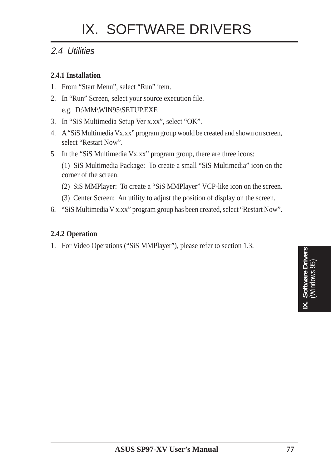# 2.4 Utilities

### **2.4.1 Installation**

- 1. From "Start Menu", select "Run" item.
- 2. In "Run" Screen, select your source execution file. e.g. D:\MM\WIN95\SETUP.EXE
- 3. In "SiS Multimedia Setup Ver x.xx", select "OK".
- 4. A "SiS Multimedia Vx.xx" program group would be created and shown on screen, select "Restart Now".
- 5. In the "SiS Multimedia Vx.xx" program group, there are three icons:
	- (1) SiS Multimedia Package: To create a small "SiS Multimedia" icon on the corner of the screen.
	- (2) SiS MMPlayer: To create a "SiS MMPlayer" VCP-like icon on the screen.
	- (3) Center Screen: An utility to adjust the position of display on the screen.
- 6. "SiS Multimedia V x.xx" program group has been created, select "Restart Now".

### **2.4.2 Operation**

1. For Video Operations ("SiS MMPlayer"), please refer to section 1.3.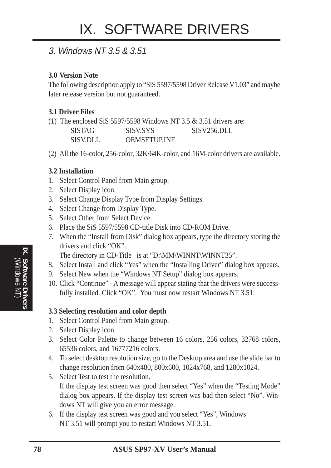# 3. Windows NT 3.5 & 3.51

#### **3.0 Version Note**

The following description apply to "SiS 5597/5598 Driver Release V1.03" and maybe later release version but not guaranteed.

#### **3.1 Driver Files**

(1) The enclosed SiS 5597/5598 Windows NT 3.5 & 3.51 drivers are: SISTAG SISV.SYS SISV256.DLL SISV.DLL OEMSETUP.INF

(2) All the 16-color, 256-color, 32K/64K-color, and 16M-color drivers are available.

#### **3.2 Installation**

- 1. Select Control Panel from Main group.
- 2. Select Display icon.
- 3. Select Change Display Type from Display Settings.
- 4. Select Change from Display Type.
- 5. Select Other from Select Device.
- 6. Place the SiS 5597/5598 CD-title Disk into CD-ROM Drive.
- 7. When the "Install from Disk" dialog box appears, type the directory storing the drivers and click "OK".

The directory in CD-Title is at "D:\MM\WINNT\WINNT35".

- 8. Select Install and click "Yes" when the "Installing Driver" dialog box appears.
- 9. Select New when the "Windows NT Setup" dialog box appears.
- 10. Click "Continue" A message will appear stating that the drivers were successfully installed. Click "OK". You must now restart Windows NT 3.51.

### **3.3 Selecting resolution and color depth**

- 1. Select Control Panel from Main group.
- 2. Select Display icon.
- 3. Select Color Palette to change between 16 colors, 256 colors, 32768 colors, 65536 colors, and 16777216 colors.
- 4. To select desktop resolution size, go to the Desktop area and use the slide bar to change resolution from 640x480, 800x600, 1024x768, and 1280x1024.
- 5. Select Test to test the resolution. If the display test screen was good then select "Yes" when the "Testing Mode" dialog box appears. If the display test screen was bad then select "No". Windows NT will give you an error message.
- 6. If the display test screen was good and you select "Yes", Windows NT 3.51 will prompt you to restart Windows NT 3.51.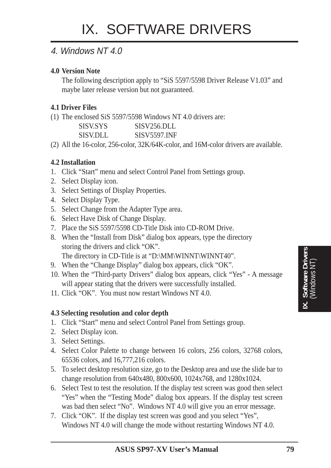## 4. Windows NT 4.0

#### **4.0 Version Note**

The following description apply to "SiS 5597/5598 Driver Release V1.03" and maybe later release version but not guaranteed.

### **4.1 Driver Files**

(1) The enclosed SiS 5597/5598 Windows NT 4.0 drivers are:

| SISV.SYS | SISV256.DLL         |
|----------|---------------------|
| SISV.DLL | <b>SISV5597.INF</b> |

(2) All the 16-color, 256-color, 32K/64K-color, and 16M-color drivers are available.

### **4.2 Installation**

- 1. Click "Start" menu and select Control Panel from Settings group.
- 2. Select Display icon.
- 3. Select Settings of Display Properties.
- 4. Select Display Type.
- 5. Select Change from the Adapter Type area.
- 6. Select Have Disk of Change Display.
- 7. Place the SiS 5597/5598 CD-Title Disk into CD-ROM Drive.
- 8. When the "Install from Disk" dialog box appears, type the directory storing the drivers and click "OK". The directory in CD-Title is at "D:\MM\WINNT\WINNT40".
- 9. When the "Change Display" dialog box appears, click "OK".
- 10. When the "Third-party Drivers" dialog box appears, click "Yes" A message will appear stating that the drivers were successfully installed.
- 11. Click "OK". You must now restart Windows NT 4.0.

### **4.3 Selecting resolution and color depth**

- 1. Click "Start" menu and select Control Panel from Settings group.
- 2. Select Display icon.
- 3. Select Settings.
- 4. Select Color Palette to change between 16 colors, 256 colors, 32768 colors, 65536 colors, and 16,777,216 colors.
- 5. To select desktop resolution size, go to the Desktop area and use the slide bar to change resolution from 640x480, 800x600, 1024x768, and 1280x1024.
- 6. Select Test to test the resolution. If the display test screen was good then select "Yes" when the "Testing Mode" dialog box appears. If the display test screen was bad then select "No". Windows NT 4.0 will give you an error message.
- 7. Click "OK". If the display test screen was good and you select "Yes", Windows NT 4.0 will change the mode without restarting Windows NT 4.0.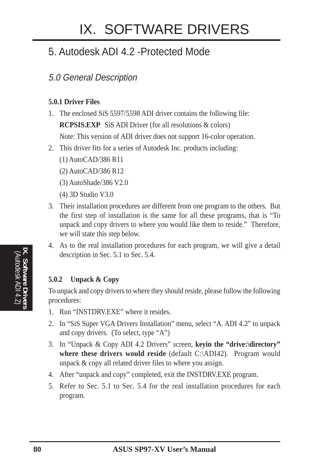# 5. Autodesk ADI 4.2 -Protected Mode

# 5.0 General Description

### **5.0.1 Driver Files**

- 1. The enclosed SiS 5597/5598 ADI driver contains the following file: **RCPSIS.EXP** SiS ADI Driver (for all resolutions & colors) Note: This version of ADI driver does not support 16-color operation.
- 2. This driver fits for a series of Autodesk Inc. products including:
	- (1) AutoCAD/386 R11
	- (2) AutoCAD/386 R12
	- (3) AutoShade/386 V2.0
	- (4) 3D Studio V3.0
- 3. Their installation procedures are different from one program to the others. But the first step of installation is the same for all these programs, that is "To unpack and copy drivers to where you would like them to reside." Therefore, we will state this step below.
- 4. As to the real installation procedures for each program, we will give a detail description in Sec. 5.1 to Sec. 5.4.

### **5.0.2 Unpack & Copy**

To unpack and copy drivers to where they should reside, please follow the following procedures:

- 1. Run "INSTDRV.EXE" where it resides.
- 2. In "SiS Super VGA Drivers Installation" menu, select "A. ADI 4.2" to unpack and copy drivers. (To select, type "A")
- 3. In "Unpack & Copy ADI 4.2 Drivers" screen, **keyin the "drive:\directory" where these drivers would reside** (default C:\ADI42). Program would unpack & copy all related driver files to where you assign.
- 4. After "unpack and copy" completed, exit the INSTDRV.EXE program.
- 5. Refer to Sec. 5.1 to Sec. 5.4 for the real installation procedures for each program.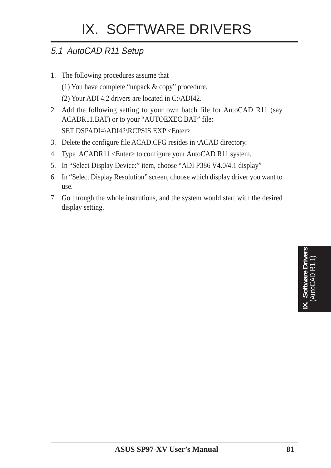# 5.1 AutoCAD R11 Setup

- 1. The following procedures assume that
	- (1) You have complete "unpack & copy" procedure.
	- (2) Your ADI 4.2 drivers are located in C:\ADI42.
- 2. Add the following setting to your own batch file for AutoCAD R11 (say ACADR11.BAT) or to your "AUTOEXEC.BAT" file: SET DSPADI=\ADI42\RCPSIS.EXP <Enter>
- 3. Delete the configure file ACAD.CFG resides in \ACAD directory.
- 4. Type ACADR11 <Enter> to configure your AutoCAD R11 system.
- 5. In "Select Display Device:" item, choose "ADI P386 V4.0/4.1 display"
- 6. In "Select Display Resolution" screen, choose which display driver you want to use.
- 7. Go through the whole instrutions, and the system would start with the desired display setting.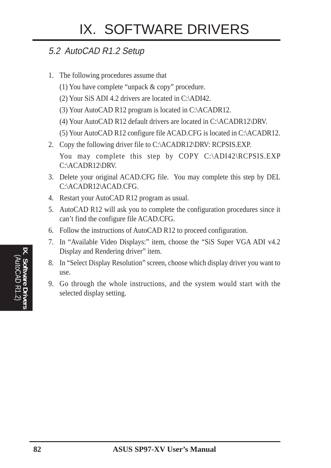# 5.2 AutoCAD R1.2 Setup

- 1. The following procedures assume that
	- (1) You have complete "unpack & copy" procedure.
	- (2) Your SiS ADI 4.2 drivers are located in C:\ADI42.
	- (3) Your AutoCAD R12 program is located in C:\ACADR12.
	- (4) Your AutoCAD R12 default drivers are located in C:\ACADR12\DRV.
	- (5) Your AutoCAD R12 configure file ACAD.CFG is located in C:\ACADR12.
- 2. Copy the following driver file to C:\ACADR12\DRV: RCPSIS.EXP. You may complete this step by COPY C:\ADI42\RCPSIS.EXP C:\ACADR12\DRV.
- 3. Delete your original ACAD.CFG file. You may complete this step by DEL C:\ACADR12\ACAD.CFG.
- 4. Restart your AutoCAD R12 program as usual.
- 5. AutoCAD R12 will ask you to complete the configuration procedures since it can't find the configure file ACAD.CFG.
- 6. Follow the instructions of AutoCAD R12 to proceed configuration.
- 7. In "Available Video Displays:" item, choose the "SiS Super VGA ADI v4.2 Display and Rendering driver" item.
- 8. In "Select Display Resolution" screen, choose which display driver you want to use.
- 9. Go through the whole instructions, and the system would start with the selected display setting.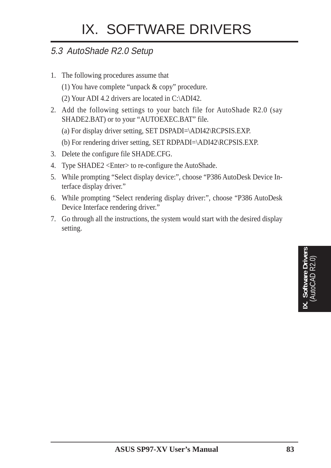# 5.3 AutoShade R2.0 Setup

- 1. The following procedures assume that
	- (1) You have complete "unpack & copy" procedure.
	- (2) Your ADI 4.2 drivers are located in C:\ADI42.
- 2. Add the following settings to your batch file for AutoShade R2.0 (say SHADE2.BAT) or to your "AUTOEXEC.BAT" file.
	- (a) For display driver setting, SET DSPADI=\ADI42\RCPSIS.EXP.
	- (b) For rendering driver setting, SET RDPADI=\ADI42\RCPSIS.EXP.
- 3. Delete the configure file SHADE.CFG.
- 4. Type SHADE2 <Enter> to re-configure the AutoShade.
- 5. While prompting "Select display device:", choose "P386 AutoDesk Device Interface display driver."
- 6. While prompting "Select rendering display driver:", choose "P386 AutoDesk Device Interface rendering driver."
- 7. Go through all the instructions, the system would start with the desired display setting.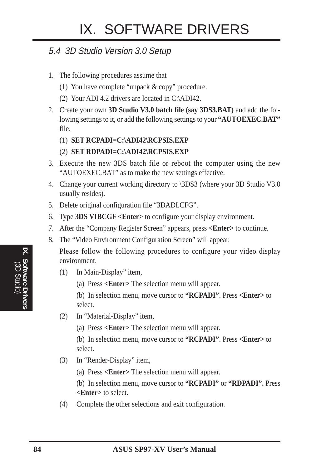# 5.4 3D Studio Version 3.0 Setup

- 1. The following procedures assume that
	- (1) You have complete "unpack & copy" procedure.
	- (2) Your ADI 4.2 drivers are located in C:\ADI42.
- 2. Create your own **3D Studio V3.0 batch file (say 3DS3.BAT)** and add the following settings to it, or add the following settings to your **"AUTOEXEC.BAT"** file.

### (1) **SET RCPADI=C:\ADI42\RCPSIS.EXP**

### (2) **SET RDPADI=C:\ADI42\RCPSIS.EXP**

- 3. Execute the new 3DS batch file or reboot the computer using the new "AUTOEXEC.BAT" as to make the new settings effective.
- 4. Change your current working directory to \3DS3 (where your 3D Studio V3.0 usually resides).
- 5. Delete original configuration file "3DADI.CFG".
- 6. Type **3DS VIBCGF <Enter>** to configure your display environment.
- 7. After the "Company Register Screen" appears, press **<Enter>** to continue.
- 8. The "Video Environment Configuration Screen" will appear.

Please follow the following procedures to configure your video display environment.

- (1) In Main-Display" item,
	- (a) Press **<Enter>** The selection menu will appear.

(b) In selection menu, move cursor to **"RCPADI"**. Press **<Enter>** to select.

- (2) In "Material-Display" item,
	- (a) Press **<Enter>** The selection menu will appear.

(b) In selection menu, move cursor to **"RCPADI"**. Press **<Enter>** to select.

(3) In "Render-Display" item,

(a) Press **<Enter>** The selection menu will appear.

(b) In selection menu, move cursor to **"RCPADI"** or **"RDPADI".** Press **<Enter>** to select.

(4) Complete the other selections and exit configuration.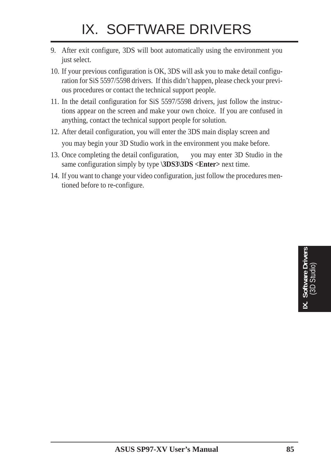- 9. After exit configure, 3DS will boot automatically using the environment you just select.
- 10. If your previous configuration is OK, 3DS will ask you to make detail configuration for SiS 5597/5598 drivers. If this didn't happen, please check your previous procedures or contact the technical support people.
- 11. In the detail configuration for SiS 5597/5598 drivers, just follow the instructions appear on the screen and make your own choice. If you are confused in anything, contact the technical support people for solution.
- 12. After detail configuration, you will enter the 3DS main display screen and you may begin your 3D Studio work in the environment you make before.
- 13. Once completing the detail configuration, you may enter 3D Studio in the same configuration simply by type **\3DS3\3DS** <**Enter**> next time.
- 14. If you want to change your video configuration, just follow the procedures mentioned before to re-configure.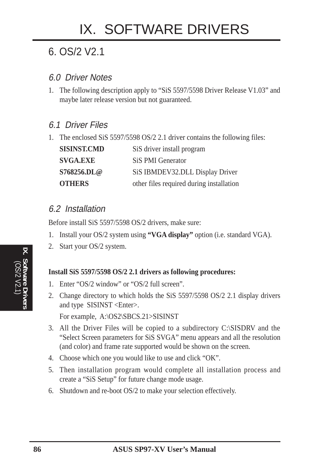# 6. OS/2 V2.1

### 6.0 Driver Notes

1. The following description apply to "SiS 5597/5598 Driver Release V1.03" and maybe later release version but not guaranteed.

### 6.1 Driver Files

1. The enclosed SiS 5597/5598 OS/2 2.1 driver contains the following files:

| <b>SISINST.CMD</b> | SiS driver install program               |
|--------------------|------------------------------------------|
| <b>SVGA.EXE</b>    | SiS PMI Generator                        |
| S768256.DL@        | SiS IBMDEV32.DLL Display Driver          |
| <b>OTHERS</b>      | other files required during installation |

# 6.2 Installation

Before install SiS 5597/5598 OS/2 drivers, make sure:

- 1. Install your OS/2 system using **"VGA display"** option (i.e. standard VGA).
- 2. Start your OS/2 system.

### **Install SiS 5597/5598 OS/2 2.1 drivers as following procedures:**

- 1. Enter "OS/2 window" or "OS/2 full screen".
- 2. Change directory to which holds the SiS 5597/5598 OS/2 2.1 display drivers and type SISINST <Enter>. For example, A:\OS2\SBCS.21>SISINST
- 3. All the Driver Files will be copied to a subdirectory C:\SISDRV and the "Select Screen parameters for SiS SVGA" menu appears and all the resolution (and color) and frame rate supported would be shown on the screen.
- 4. Choose which one you would like to use and click "OK".
- 5. Then installation program would complete all installation process and create a "SiS Setup" for future change mode usage.
- 6. Shutdown and re-boot OS/2 to make your selection effectively.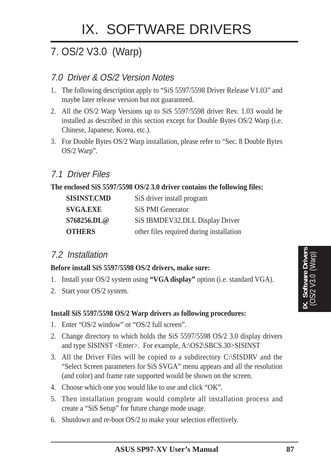# 7. OS/2 V3.0 (Warp)

# 7.0 Driver & OS/2 Version Notes

- 1. The following description apply to "SiS 5597/5598 Driver Release V1.03" and maybe later release version but not guaranteed.
- 2. All the OS/2 Warp Versions up to SiS 5597/5598 driver Rev. 1.03 would be installed as described in this section except for Double Bytes OS/2 Warp (i.e. Chinese, Japanese, Korea, etc.).
- 3. For Double Bytes OS/2 Warp installation, please refer to "Sec. 8 Double Bytes OS/2 Warp".

### 7.1 Driver Files

### **The enclosed SiS 5597/5598 OS/2 3.0 driver contains the following files:**

| <b>SISINST.CMD</b> | SiS driver install program               |
|--------------------|------------------------------------------|
| <b>SVGA.EXE</b>    | SiS PMI Generator                        |
| <b>S768256.DL@</b> | SiS IBMDEV32.DLL Display Driver          |
| <b>OTHERS</b>      | other files required during installation |

### 7.2 Installation

### **Before install SiS 5597/5598 OS/2 drivers, make sure:**

- 1. Install your OS/2 system using **"VGA display"** option (i.e. standard VGA).
- 2. Start your OS/2 system.

### **Install SiS 5597/5598 OS/2 Warp drivers as following procedures:**

- 1. Enter "OS/2 window" or "OS/2 full screen".
- 2. Change directory to which holds the SiS 5597/5598 OS/2 3.0 display drivers and type SISINST <Enter>. For example, A:\OS2\SBCS.30>SISINST
- 3. All the Driver Files will be copied to a subdirectory C:\SISDRV and the "Select Screen parameters for SiS SVGA" menu appears and all the resolution (and color) and frame rate supported would be shown on the screen.
- 4. Choose which one you would like to use and click "OK".
- 5. Then installation program would complete all installation process and create a "SiS Setup" for future change mode usage.
- 6. Shutdown and re-boot OS/2 to make your selection effectively.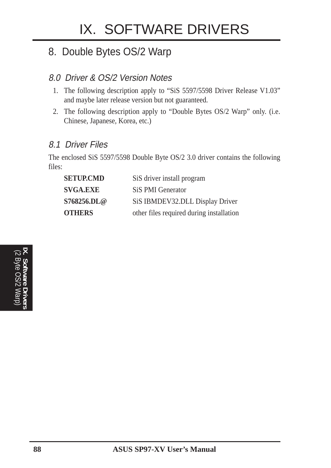# 8. Double Bytes OS/2 Warp

## 8.0 Driver & OS/2 Version Notes

- 1. The following description apply to "SiS 5597/5598 Driver Release V1.03" and maybe later release version but not guaranteed.
- 2. The following description apply to "Double Bytes OS/2 Warp" only. (i.e. Chinese, Japanese, Korea, etc.)

## 8.1 Driver Files

The enclosed SiS 5597/5598 Double Byte OS/2 3.0 driver contains the following files:

| <b>SETUP.CMD</b> | SiS driver install program               |
|------------------|------------------------------------------|
| <b>SVGA.EXE</b>  | <b>SiS PMI Generator</b>                 |
| S768256.DL@      | SiS IBMDEV32.DLL Display Driver          |
| <b>OTHERS</b>    | other files required during installation |

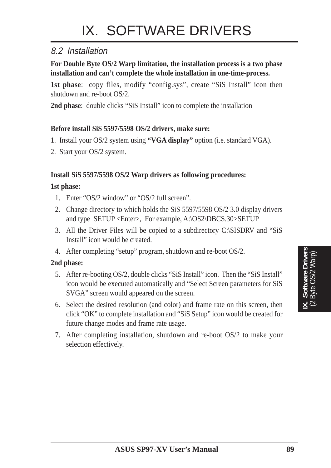## 8.2 Installation

### **For Double Byte OS/2 Warp limitation, the installation process is a two phase installation and can't complete the whole installation in one-time-process.**

**1st phase**: copy files, modify "config.sys", create "SiS Install" icon then shutdown and re-boot OS/2.

**2nd phase**: double clicks "SiS Install" icon to complete the installation

### **Before install SiS 5597/5598 OS/2 drivers, make sure:**

- 1. Install your OS/2 system using **"VGA display"** option (i.e. standard VGA).
- 2. Start your OS/2 system.

### **Install SiS 5597/5598 OS/2 Warp drivers as following procedures:**

#### **1st phase:**

- 1. Enter "OS/2 window" or "OS/2 full screen".
- 2. Change directory to which holds the SiS 5597/5598 OS/2 3.0 display drivers and type SETUP <Enter>, For example, A:\OS2\DBCS.30>SETUP
- 3. All the Driver Files will be copied to a subdirectory C:\SISDRV and "SiS Install" icon would be created.
- 4. After completing "setup" program, shutdown and re-boot OS/2.

### **2nd phase:**

- 5. After re-booting OS/2, double clicks "SiS Install" icon. Then the "SiS Install" icon would be executed automatically and "Select Screen parameters for SiS SVGA" screen would appeared on the screen.
- 6. Select the desired resolution (and color) and frame rate on this screen, then click "OK" to complete installation and "SiS Setup" icon would be created for future change modes and frame rate usage.
- 7. After completing installation, shutdown and re-boot OS/2 to make your selection effectively.